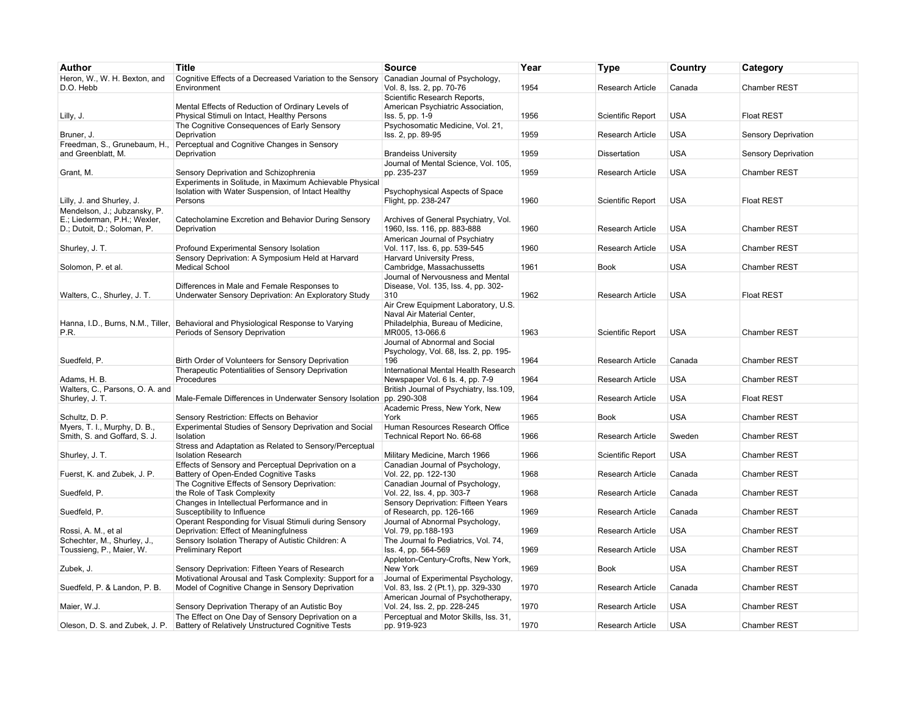| Author                                                      | <b>Title</b>                                                                                                | <b>Source</b>                                                              | Year | Type                     | Country    | Category            |
|-------------------------------------------------------------|-------------------------------------------------------------------------------------------------------------|----------------------------------------------------------------------------|------|--------------------------|------------|---------------------|
| Heron, W., W. H. Bexton, and                                | Cognitive Effects of a Decreased Variation to the Sensory                                                   | Canadian Journal of Psychology,                                            |      |                          |            |                     |
| D.O. Hebb                                                   | Environment                                                                                                 | Vol. 8, Iss. 2, pp. 70-76<br>Scientific Research Reports,                  | 1954 | Research Article         | Canada     | Chamber REST        |
|                                                             | Mental Effects of Reduction of Ordinary Levels of                                                           | American Psychiatric Association,                                          |      |                          |            |                     |
| Lilly, J.                                                   | Physical Stimuli on Intact, Healthy Persons                                                                 | Iss. 5, pp. 1-9                                                            | 1956 | Scientific Report        | <b>USA</b> | <b>Float REST</b>   |
| Bruner, J.                                                  | The Cognitive Consequences of Early Sensory<br>Deprivation                                                  | Psychosomatic Medicine, Vol. 21,<br>Iss. 2, pp. 89-95                      | 1959 | <b>Research Article</b>  | <b>USA</b> | Sensory Deprivation |
| Freedman, S., Grunebaum, H.,                                | Perceptual and Cognitive Changes in Sensory                                                                 |                                                                            |      |                          |            |                     |
| and Greenblatt. M.                                          | Deprivation                                                                                                 | <b>Brandeiss University</b>                                                | 1959 | <b>Dissertation</b>      | <b>USA</b> | Sensory Deprivation |
|                                                             |                                                                                                             | Journal of Mental Science, Vol. 105,                                       |      |                          |            |                     |
| Grant, M.                                                   | Sensory Deprivation and Schizophrenia<br>Experiments in Solitude, in Maximum Achievable Physical            | pp. 235-237                                                                | 1959 | <b>Research Article</b>  | <b>USA</b> | <b>Chamber REST</b> |
|                                                             | Isolation with Water Suspension, of Intact Healthy                                                          | Psychophysical Aspects of Space                                            |      |                          |            |                     |
| Lilly, J. and Shurley, J.                                   | Persons                                                                                                     | Flight, pp. 238-247                                                        | 1960 | <b>Scientific Report</b> | <b>USA</b> | <b>Float REST</b>   |
| Mendelson, J.; Jubzansky, P.                                |                                                                                                             |                                                                            |      |                          |            |                     |
| E.; Liederman, P.H.; Wexler,<br>D.; Dutoit, D.; Soloman, P. | Catecholamine Excretion and Behavior During Sensory<br>Deprivation                                          | Archives of General Psychiatry, Vol.<br>1960, Iss. 116, pp. 883-888        | 1960 | Research Article         | <b>USA</b> | Chamber REST        |
|                                                             |                                                                                                             | American Journal of Psychiatry                                             |      |                          |            |                     |
| Shurley, J. T.                                              | Profound Experimental Sensory Isolation                                                                     | Vol. 117, Iss. 6, pp. 539-545                                              | 1960 | Research Article         | <b>USA</b> | Chamber REST        |
| Solomon, P. et al.                                          | Sensory Deprivation: A Symposium Held at Harvard<br><b>Medical School</b>                                   | Harvard University Press,<br>Cambridge, Massachussetts                     | 1961 | <b>Book</b>              | <b>USA</b> | Chamber REST        |
|                                                             |                                                                                                             | Journal of Nervousness and Mental                                          |      |                          |            |                     |
|                                                             | Differences in Male and Female Responses to                                                                 | Disease, Vol. 135, Iss. 4, pp. 302-                                        |      |                          |            |                     |
| Walters, C., Shurley, J. T.                                 | Underwater Sensory Deprivation: An Exploratory Study                                                        | 310                                                                        | 1962 | <b>Research Article</b>  | <b>USA</b> | <b>Float REST</b>   |
|                                                             |                                                                                                             | Air Crew Equipment Laboratory, U.S.<br>Naval Air Material Center,          |      |                          |            |                     |
|                                                             | Hanna, I.D., Burns, N.M., Tiller, Behavioral and Physiological Response to Varying                          | Philadelphia, Bureau of Medicine,                                          |      |                          |            |                     |
| P.R.                                                        | Periods of Sensory Deprivation                                                                              | MR005, 13-066.6                                                            | 1963 | Scientific Report        | <b>USA</b> | <b>Chamber REST</b> |
|                                                             |                                                                                                             | Journal of Abnormal and Social                                             |      |                          |            |                     |
| Suedfeld, P.                                                | Birth Order of Volunteers for Sensory Deprivation                                                           | Psychology, Vol. 68, Iss. 2, pp. 195-<br>196                               | 1964 | Research Article         | Canada     | Chamber REST        |
|                                                             | Therapeutic Potentialities of Sensory Deprivation                                                           | International Mental Health Research                                       |      |                          |            |                     |
| Adams, H. B.                                                | Procedures                                                                                                  | Newspaper Vol. 6 ls. 4, pp. 7-9                                            | 1964 | Research Article         | <b>USA</b> | Chamber REST        |
| Walters, C., Parsons, O. A. and                             |                                                                                                             | British Journal of Psychiatry, Iss.109,                                    |      |                          |            |                     |
| Shurley, J. T.                                              | Male-Female Differences in Underwater Sensory Isolation                                                     | pp. 290-308<br>Academic Press, New York, New                               | 1964 | Research Article         | <b>USA</b> | <b>Float REST</b>   |
| Schultz, D. P.                                              | Sensory Restriction: Effects on Behavior                                                                    | York                                                                       | 1965 | <b>Book</b>              | <b>USA</b> | Chamber REST        |
| Myers, T. I., Murphy, D. B.,                                | Experimental Studies of Sensory Deprivation and Social                                                      | Human Resources Research Office                                            |      |                          |            |                     |
| Smith, S. and Goffard, S. J.                                | Isolation                                                                                                   | Technical Report No. 66-68                                                 | 1966 | Research Article         | Sweden     | Chamber REST        |
| Shurley, J. T.                                              | Stress and Adaptation as Related to Sensory/Perceptual<br><b>Isolation Research</b>                         | Military Medicine, March 1966                                              | 1966 | Scientific Report        | <b>USA</b> | Chamber REST        |
|                                                             | Effects of Sensory and Perceptual Deprivation on a                                                          | Canadian Journal of Psychology,                                            |      |                          |            |                     |
| Fuerst, K. and Zubek, J. P.                                 | Battery of Open-Ended Cognitive Tasks                                                                       | Vol. 22, pp. 122-130                                                       | 1968 | <b>Research Article</b>  | Canada     | Chamber REST        |
| Suedfeld, P.                                                | The Cognitive Effects of Sensory Deprivation:<br>the Role of Task Complexity                                | Canadian Journal of Psychology,<br>Vol. 22, Iss. 4, pp. 303-7              | 1968 | <b>Research Article</b>  | Canada     | <b>Chamber REST</b> |
|                                                             | Changes in Intellectual Performance and in                                                                  | Sensory Deprivation: Fifteen Years                                         |      |                          |            |                     |
| Suedfeld, P.                                                | Susceptibility to Influence                                                                                 | of Research, pp. 126-166                                                   | 1969 | Research Article         | Canada     | <b>Chamber REST</b> |
|                                                             | Operant Responding for Visual Stimuli during Sensory                                                        | Journal of Abnormal Psychology,                                            |      |                          |            |                     |
| Rossi, A. M., et al<br>Schechter, M., Shurley, J.,          | Deprivation: Effect of Meaningfulness<br>Sensory Isolation Therapy of Autistic Children: A                  | Vol. 79, pp.188-193<br>The Journal fo Pediatrics, Vol. 74,                 | 1969 | Research Article         | <b>USA</b> | <b>Chamber REST</b> |
| Toussieng, P., Maier, W.                                    | <b>Preliminary Report</b>                                                                                   | Iss. 4, pp. 564-569                                                        | 1969 | <b>Research Article</b>  | <b>USA</b> | <b>Chamber REST</b> |
|                                                             |                                                                                                             | Appleton-Century-Crofts, New York,                                         |      |                          |            |                     |
| Zubek, J.                                                   | Sensory Deprivation: Fifteen Years of Research                                                              | New York                                                                   | 1969 | <b>Book</b>              | <b>USA</b> | <b>Chamber REST</b> |
| Suedfeld, P. & Landon, P. B.                                | Motivational Arousal and Task Complexity: Support for a<br>Model of Cognitive Change in Sensory Deprivation | Journal of Experimental Psychology,<br>Vol. 83, Iss. 2 (Pt.1), pp. 329-330 | 1970 | <b>Research Article</b>  | Canada     | Chamber REST        |
|                                                             |                                                                                                             | American Journal of Psychotherapy,                                         |      |                          |            |                     |
| Maier, W.J.                                                 | Sensory Deprivation Therapy of an Autistic Boy                                                              | Vol. 24, Iss. 2, pp. 228-245                                               | 1970 | Research Article         | <b>USA</b> | <b>Chamber REST</b> |
|                                                             | The Effect on One Day of Sensory Deprivation on a<br>Battery of Relatively Unstructured Cognitive Tests     | Perceptual and Motor Skills, Iss. 31,                                      | 1970 |                          | <b>USA</b> |                     |
| Oleson, D. S. and Zubek, J. P.                              |                                                                                                             | pp. 919-923                                                                |      | Research Article         |            | <b>Chamber REST</b> |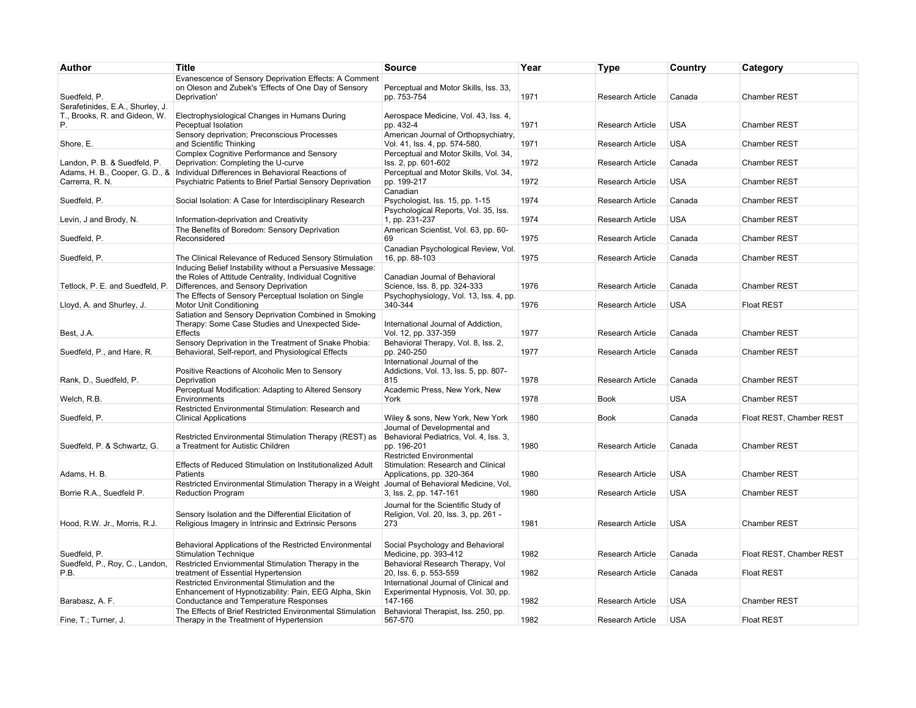| Author                                                            | <b>Title</b>                                                                                                                                            | <b>Source</b>                                                                                            | Year         | Type                                               | Country                  | Category                     |
|-------------------------------------------------------------------|---------------------------------------------------------------------------------------------------------------------------------------------------------|----------------------------------------------------------------------------------------------------------|--------------|----------------------------------------------------|--------------------------|------------------------------|
| Suedfeld, P.                                                      | Evanescence of Sensory Deprivation Effects: A Comment<br>on Oleson and Zubek's 'Effects of One Day of Sensory<br>Deprivation'                           | Perceptual and Motor Skills, Iss. 33,<br>pp. 753-754                                                     | 1971         | <b>Research Article</b>                            | Canada                   | <b>Chamber REST</b>          |
| Serafetinides, E.A., Shurley, J.<br>T., Brooks, R. and Gideon, W. | Electrophysiological Changes in Humans During                                                                                                           | Aerospace Medicine, Vol. 43, Iss. 4,                                                                     |              |                                                    |                          |                              |
| P.<br>Shore, E.                                                   | Peceptual Isolation<br>Sensory deprivation; Preconscious Processes<br>and Scientific Thinking                                                           | pp. 432-4<br>American Journal of Orthopsychiatry,<br>Vol. 41, Iss. 4, pp. 574-580.                       | 1971<br>1971 | <b>Research Article</b><br><b>Research Article</b> | <b>USA</b><br><b>USA</b> | Chamber REST<br>Chamber REST |
| Landon, P. B. & Suedfeld, P.                                      | Complex Cognitive Performance and Sensory<br>Deprivation: Completing the U-curve                                                                        | Perceptual and Motor Skills, Vol. 34,<br>Iss. 2, pp. 601-602                                             | 1972         | <b>Research Article</b>                            | Canada                   | Chamber REST                 |
| Carrerra, R. N.                                                   | Adams, H. B., Cooper, G. D., & Individual Differences in Behavioral Reactions of<br>Psychiatric Patients to Brief Partial Sensory Deprivation           | Perceptual and Motor Skills, Vol. 34,<br>pp. 199-217                                                     | 1972         | <b>Research Article</b>                            | <b>USA</b>               | Chamber REST                 |
| Suedfeld, P.                                                      | Social Isolation: A Case for Interdisciplinary Research                                                                                                 | Canadian<br>Psychologist, Iss. 15, pp. 1-15<br>Psychological Reports, Vol. 35, Iss.                      | 1974         | <b>Research Article</b>                            | Canada                   | Chamber REST                 |
| Levin, J and Brody, N.                                            | Information-deprivation and Creativity<br>The Benefits of Boredom: Sensory Deprivation                                                                  | 1, pp. 231-237<br>American Scientist, Vol. 63, pp. 60-                                                   | 1974         | <b>Research Article</b>                            | <b>USA</b>               | Chamber REST                 |
| Suedfeld, P.                                                      | Reconsidered                                                                                                                                            | 69<br>Canadian Psychological Review, Vol.                                                                | 1975         | Research Article                                   | Canada                   | Chamber REST                 |
| Suedfeld, P.                                                      | The Clinical Relevance of Reduced Sensory Stimulation<br>Inducing Belief Instability without a Persuasive Message:                                      | 16, pp. 88-103                                                                                           | 1975         | <b>Research Article</b>                            | Canada                   | Chamber REST                 |
| Tetlock, P. E. and Suedfeld, P.                                   | the Roles of Attitude Centrality, Individual Cognitive<br>Differences, and Sensory Deprivation<br>The Effects of Sensory Perceptual Isolation on Single | Canadian Journal of Behavioral<br>Science, Iss. 8, pp. 324-333<br>Psychophysiology, Vol. 13, Iss. 4, pp. | 1976         | <b>Research Article</b>                            | Canada                   | Chamber REST                 |
| Lloyd, A. and Shurley, J.                                         | Motor Unit Conditioning<br>Satiation and Sensory Deprivation Combined in Smoking                                                                        | 340-344                                                                                                  | 1976         | Research Article                                   | <b>USA</b>               | <b>Float REST</b>            |
| Best, J.A.                                                        | Therapy: Some Case Studies and Unexpected Side-<br>Effects                                                                                              | International Journal of Addiction,<br>Vol. 12, pp. 337-359                                              | 1977         | <b>Research Article</b>                            | Canada                   | Chamber REST                 |
| Suedfeld, P., and Hare, R.                                        | Sensory Deprivation in the Treatment of Snake Phobia:<br>Behavioral, Self-report, and Physiological Effects                                             | Behavioral Therapy, Vol. 8, Iss. 2,<br>pp. 240-250                                                       | 1977         | <b>Research Article</b>                            | Canada                   | Chamber REST                 |
| Rank, D., Suedfeld, P.                                            | Positive Reactions of Alcoholic Men to Sensory<br>Deprivation                                                                                           | International Journal of the<br>Addictions, Vol. 13, Iss. 5, pp. 807-<br>815                             | 1978         | <b>Research Article</b>                            | Canada                   | <b>Chamber REST</b>          |
| Welch, R.B.                                                       | Perceptual Modification: Adapting to Altered Sensory<br>Environments                                                                                    | Academic Press, New York, New<br>York                                                                    | 1978         | Book                                               | <b>USA</b>               | <b>Chamber REST</b>          |
| Suedfeld, P.                                                      | Restricted Environmental Stimulation: Research and<br><b>Clinical Applications</b>                                                                      | Wiley & sons, New York, New York<br>Journal of Developmental and                                         | 1980         | Book                                               | Canada                   | Float REST, Chamber REST     |
| Suedfeld, P. & Schwartz, G.                                       | Restricted Environmental Stimulation Therapy (REST) as<br>a Treatment for Autistic Children                                                             | Behavioral Pediatrics, Vol. 4, Iss. 3,<br>pp. 196-201                                                    | 1980         | <b>Research Article</b>                            | Canada                   | Chamber REST                 |
| Adams, H. B.                                                      | Effects of Reduced Stimulation on Institutionalized Adult<br>Patients                                                                                   | <b>Restricted Environmental</b><br>Stimulation: Research and Clinical<br>Applications, pp. 320-364       | 1980         | Research Article                                   | <b>USA</b>               | Chamber REST                 |
| Borrie R.A., Suedfeld P.                                          | Restricted Environmental Stimulation Therapy in a Weight<br><b>Reduction Program</b>                                                                    | Journal of Behavioral Medicine, Vol,<br>3, Iss. 2, pp. 147-161                                           | 1980         | <b>Research Article</b>                            | <b>USA</b>               | Chamber REST                 |
| Hood, R.W. Jr., Morris, R.J.                                      | Sensory Isolation and the Differential Elicitation of<br>Religious Imagery in Intrinsic and Extrinsic Persons                                           | Journal for the Scientific Study of<br>Religion, Vol. 20, Iss. 3, pp. 261 -<br>273                       | 1981         | Research Article                                   | <b>USA</b>               | Chamber REST                 |
| Suedfeld, P.                                                      | Behavioral Applications of the Restricted Environmental<br><b>Stimulation Technique</b>                                                                 | Social Psychology and Behavioral<br>Medicine, pp. 393-412                                                | 1982         | Research Article                                   | Canada                   | Float REST, Chamber REST     |
| Suedfeld, P., Roy, C., Landon,<br>P.B.                            | Restricted Enviornmental Stimulation Therapy in the<br>treatment of Essential Hypertension                                                              | Behavioral Research Therapy, Vol<br>20, Iss. 6, p. 553-559                                               | 1982         | Research Article                                   | Canada                   | <b>Float REST</b>            |
| Barabasz, A. F.                                                   | Restricted Environmental Stimulation and the<br>Enhancement of Hypnotizability: Pain, EEG Alpha, Skin<br>Conductance and Temperature Responses          | International Journal of Clinical and<br>Experimental Hypnosis, Vol. 30, pp.<br>147-166                  | 1982         | Research Article                                   | <b>USA</b>               | Chamber REST                 |
| Fine, T.; Turner, J.                                              | The Effects of Brief Restricted Environmental Stimulation<br>Therapy in the Treatment of Hypertension                                                   | Behavioral Therapist, Iss. 250, pp.<br>567-570                                                           | 1982         | Research Article                                   | <b>USA</b>               | <b>Float REST</b>            |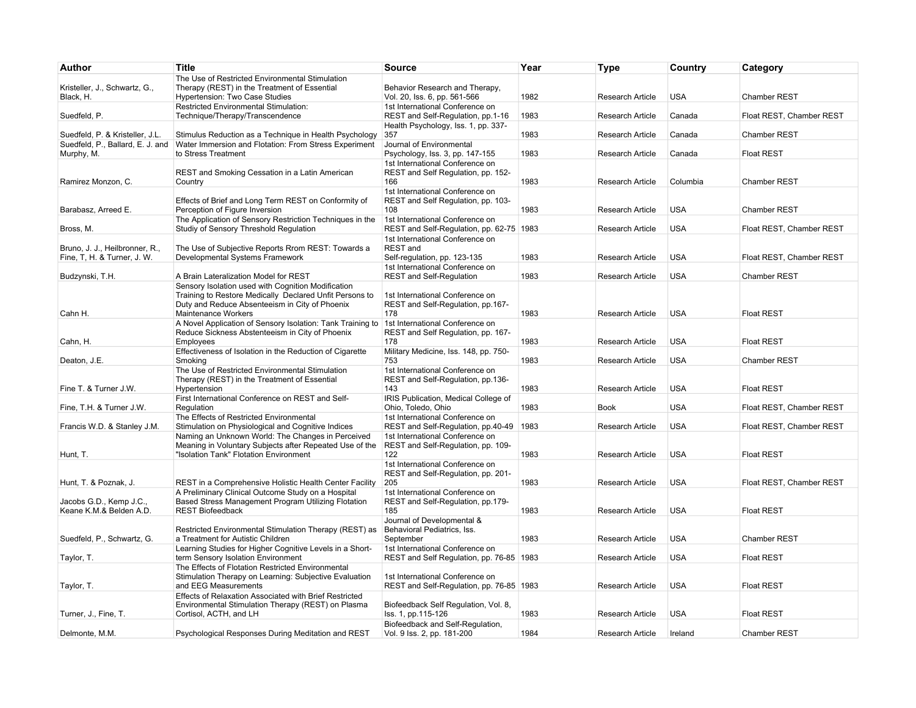| Author                           | <b>Title</b>                                                                                  | <b>Source</b>                                                                | Year | <b>Type</b>             | Country    | Category                 |
|----------------------------------|-----------------------------------------------------------------------------------------------|------------------------------------------------------------------------------|------|-------------------------|------------|--------------------------|
|                                  | The Use of Restricted Environmental Stimulation                                               |                                                                              |      |                         |            |                          |
| Kristeller, J., Schwartz, G.,    | Therapy (REST) in the Treatment of Essential                                                  | Behavior Research and Therapy,                                               |      |                         |            |                          |
| Black, H.                        | Hypertension: Two Case Studies                                                                | Vol. 20, Iss. 6, pp. 561-566                                                 | 1982 | <b>Research Article</b> | <b>USA</b> | Chamber REST             |
|                                  | Restricted Environmental Stimulation:                                                         | 1st International Conference on                                              |      |                         |            |                          |
| Suedfeld, P.                     | Technique/Therapy/Transcendence                                                               | REST and Self-Regulation, pp.1-16                                            | 1983 | Research Article        | Canada     | Float REST, Chamber REST |
|                                  |                                                                                               | Health Psychology, Iss. 1, pp. 337-                                          |      |                         |            |                          |
| Suedfeld, P. & Kristeller, J.L.  | Stimulus Reduction as a Technique in Health Psychology                                        | 357                                                                          | 1983 | Research Article        | Canada     | Chamber REST             |
| Suedfeld, P., Ballard, E. J. and | Water Immersion and Flotation: From Stress Experiment                                         | Journal of Environmental                                                     |      |                         |            |                          |
| Murphy, M.                       | to Stress Treatment                                                                           | Psychology, Iss. 3, pp. 147-155                                              | 1983 | <b>Research Article</b> | Canada     | <b>Float REST</b>        |
|                                  |                                                                                               | 1st International Conference on                                              |      |                         |            |                          |
|                                  | REST and Smoking Cessation in a Latin American                                                | REST and Self Regulation, pp. 152-                                           |      |                         |            |                          |
| Ramirez Monzon, C.               | Country                                                                                       | 166                                                                          | 1983 | Research Article        | Columbia   | Chamber REST             |
|                                  |                                                                                               | 1st International Conference on                                              |      |                         |            |                          |
| Barabasz, Arreed E.              | Effects of Brief and Long Term REST on Conformity of<br>Perception of Figure Inversion        | REST and Self Regulation, pp. 103-<br>108                                    | 1983 | <b>Research Article</b> | <b>USA</b> | <b>Chamber REST</b>      |
|                                  | The Application of Sensory Restriction Techniques in the                                      | 1st International Conference on                                              |      |                         |            |                          |
| Bross, M.                        | Studiy of Sensory Threshold Regulation                                                        | REST and Self-Regulation, pp. 62-75   1983                                   |      | <b>Research Article</b> | <b>USA</b> | Float REST, Chamber REST |
|                                  |                                                                                               | 1st International Conference on                                              |      |                         |            |                          |
| Bruno, J. J., Heilbronner, R.,   | The Use of Subjective Reports Rrom REST: Towards a                                            | <b>REST</b> and                                                              |      |                         |            |                          |
| Fine, T, H. & Turner, J. W.      | Developmental Systems Framework                                                               | Self-regulation, pp. 123-135                                                 | 1983 | Research Article        | <b>USA</b> | Float REST, Chamber REST |
|                                  |                                                                                               | 1st International Conference on                                              |      |                         |            |                          |
| Budzynski, T.H.                  | A Brain Lateralization Model for REST                                                         | <b>REST</b> and Self-Regulation                                              | 1983 | Research Article        | <b>USA</b> | <b>Chamber REST</b>      |
|                                  | Sensory Isolation used with Cognition Modification                                            |                                                                              |      |                         |            |                          |
|                                  | Training to Restore Medically Declared Unfit Persons to                                       | 1st International Conference on                                              |      |                         |            |                          |
|                                  | Duty and Reduce Absenteeism in City of Phoenix                                                | REST and Self-Regulation, pp.167-                                            |      |                         |            |                          |
| Cahn H.                          | Maintenance Workers                                                                           | 178                                                                          | 1983 | <b>Research Article</b> | <b>USA</b> | <b>Float REST</b>        |
|                                  | A Novel Application of Sensory Isolation: Tank Training to                                    | 1st International Conference on                                              |      |                         |            |                          |
|                                  | Reduce Sickness Abstenteeism in City of Phoenix                                               | REST and Self Regulation, pp. 167-                                           |      |                         |            |                          |
| Cahn, H.                         | Employees                                                                                     | 178                                                                          | 1983 | Research Article        | <b>USA</b> | <b>Float REST</b>        |
|                                  | Effectiveness of Isolation in the Reduction of Cigarette                                      | Military Medicine, Iss. 148, pp. 750-                                        |      |                         |            |                          |
| Deaton, J.E.                     | Smoking                                                                                       | 753                                                                          | 1983 | <b>Research Article</b> | <b>USA</b> | <b>Chamber REST</b>      |
|                                  | The Use of Restricted Environmental Stimulation                                               | 1st International Conference on                                              |      |                         |            |                          |
|                                  | Therapy (REST) in the Treatment of Essential                                                  | REST and Self-Regulation, pp.136-                                            |      |                         |            |                          |
| Fine T. & Turner J.W.            | Hypertension                                                                                  | 143                                                                          | 1983 | <b>Research Article</b> | <b>USA</b> | <b>Float REST</b>        |
|                                  | First International Conference on REST and Self-                                              | IRIS Publication, Medical College of                                         | 1983 |                         | <b>USA</b> | Float REST, Chamber REST |
| Fine, T.H. & Turner J.W.         | Regulation                                                                                    | Ohio, Toledo, Ohio                                                           |      | Book                    |            |                          |
| Francis W.D. & Stanley J.M.      | The Effects of Restricted Environmental<br>Stimulation on Physiological and Cognitive Indices | 1st International Conference on<br>REST and Self-Regulation, pp.40-49   1983 |      | Research Article        | <b>USA</b> | Float REST, Chamber REST |
|                                  | Naming an Unknown World: The Changes in Perceived                                             | 1st International Conference on                                              |      |                         |            |                          |
|                                  | Meaning in Voluntary Subjects after Repeated Use of the                                       | REST and Self-Regulation, pp. 109-                                           |      |                         |            |                          |
| Hunt, T.                         | "Isolation Tank" Flotation Environment                                                        | 122                                                                          | 1983 | Research Article        | <b>USA</b> | <b>Float REST</b>        |
|                                  |                                                                                               | 1st International Conference on                                              |      |                         |            |                          |
|                                  |                                                                                               | REST and Self-Regulation, pp. 201-                                           |      |                         |            |                          |
| Hunt, T. & Poznak, J.            | REST in a Comprehensive Holistic Health Center Facility                                       | 205                                                                          | 1983 | Research Article        | <b>USA</b> | Float REST, Chamber REST |
|                                  | A Preliminary Clinical Outcome Study on a Hospital                                            | 1st International Conference on                                              |      |                         |            |                          |
| Jacobs G.D., Kemp J.C.,          | Based Stress Management Program Utilizing Flotation                                           | REST and Self-Regulation, pp.179-                                            |      |                         |            |                          |
| Keane K.M.& Belden A.D.          | <b>REST Biofeedback</b>                                                                       | 185                                                                          | 1983 | <b>Research Article</b> | <b>USA</b> | <b>Float REST</b>        |
|                                  |                                                                                               | Journal of Developmental &                                                   |      |                         |            |                          |
|                                  | Restricted Environmental Stimulation Therapy (REST) as                                        | Behavioral Pediatrics, Iss.                                                  |      |                         |            |                          |
| Suedfeld, P., Schwartz, G.       | a Treatment for Autistic Children                                                             | September                                                                    | 1983 | <b>Research Article</b> | <b>USA</b> | Chamber REST             |
|                                  | Learning Studies for Higher Cognitive Levels in a Short-                                      | 1st International Conference on                                              |      |                         |            |                          |
| Taylor, T.                       | term Sensory Isolation Environment                                                            | REST and Self Regulation, pp. 76-85   1983                                   |      | <b>Research Article</b> | <b>USA</b> | <b>Float REST</b>        |
|                                  | The Effects of Flotation Restricted Environmental                                             |                                                                              |      |                         |            |                          |
|                                  | Stimulation Therapy on Learning: Subjective Evaluation                                        | 1st International Conference on                                              |      |                         |            |                          |
| Taylor, T.                       | and EEG Measurements                                                                          | REST and Self-Regulation, pp. 76-85 1983                                     |      | Research Article        | <b>USA</b> | <b>Float REST</b>        |
|                                  | Effects of Relaxation Associated with Brief Restricted                                        |                                                                              |      |                         |            |                          |
| Turner, J., Fine, T.             | Environmental Stimulation Therapy (REST) on Plasma<br>Cortisol, ACTH, and LH                  | Biofeedback Self Regulation, Vol. 8,<br>lss. 1, pp.115-126                   | 1983 | Research Article        | <b>USA</b> | <b>Float REST</b>        |
|                                  |                                                                                               | Biofeedback and Self-Regulation,                                             |      |                         |            |                          |
| Delmonte, M.M.                   | Psychological Responses During Meditation and REST                                            | Vol. 9 Iss. 2, pp. 181-200                                                   | 1984 | Research Article        | Ireland    | <b>Chamber REST</b>      |
|                                  |                                                                                               |                                                                              |      |                         |            |                          |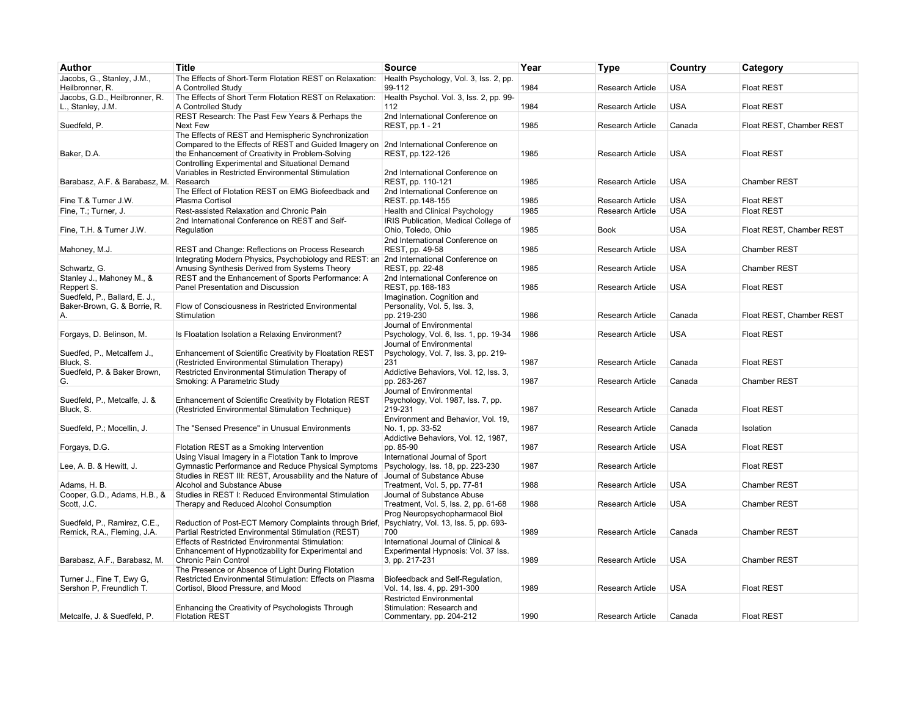| Author                                                              | <b>Title</b>                                                                                                                                                                                     | <b>Source</b>                                                                                | Year | Type                    | Country    | Category                 |
|---------------------------------------------------------------------|--------------------------------------------------------------------------------------------------------------------------------------------------------------------------------------------------|----------------------------------------------------------------------------------------------|------|-------------------------|------------|--------------------------|
| Jacobs, G., Stanley, J.M.,<br>Heilbronner, R.                       | The Effects of Short-Term Flotation REST on Relaxation:<br>A Controlled Study                                                                                                                    | Health Psychology, Vol. 3, Iss. 2, pp.<br>99-112                                             | 1984 | Research Article        | <b>USA</b> | <b>Float REST</b>        |
| Jacobs, G.D., Heilbronner, R.<br>L., Stanley, J.M.                  | The Effects of Short Term Flotation REST on Relaxation:<br>A Controlled Study                                                                                                                    | Health Psychol. Vol. 3, Iss. 2, pp. 99-<br>112                                               | 1984 | Research Article        | <b>USA</b> | <b>Float REST</b>        |
| Suedfeld, P.                                                        | REST Research: The Past Few Years & Perhaps the<br>Next Few                                                                                                                                      | 2nd International Conference on<br>REST, pp.1 - 21                                           | 1985 | Research Article        | Canada     | Float REST, Chamber REST |
| Baker, D.A.                                                         | The Effects of REST and Hemispheric Synchronization<br>Compared to the Effects of REST and Guided Imagery on 2nd International Conference on<br>the Enhancement of Creativity in Problem-Solving | REST, pp.122-126                                                                             | 1985 | Research Article        | <b>USA</b> | <b>Float REST</b>        |
| Barabasz, A.F. & Barabasz, M.                                       | Controlling Experimental and Situational Demand<br>Variables in Restricted Environmental Stimulation<br>Research                                                                                 | 2nd International Conference on<br>REST, pp. 110-121                                         | 1985 | <b>Research Article</b> | <b>USA</b> | <b>Chamber REST</b>      |
| Fine T.& Turner J.W.                                                | The Effect of Flotation REST on EMG Biofeedback and<br>Plasma Cortisol                                                                                                                           | 2nd International Conference on<br>REST. pp.148-155                                          | 1985 | <b>Research Article</b> | <b>USA</b> | <b>Float REST</b>        |
| Fine, T.; Turner, J.                                                | Rest-assisted Relaxation and Chronic Pain                                                                                                                                                        | Health and Clinical Psychology                                                               | 1985 | Research Article        | <b>USA</b> | <b>Float REST</b>        |
|                                                                     | 2nd International Conference on REST and Self-                                                                                                                                                   | IRIS Publication, Medical College of                                                         |      |                         |            |                          |
| Fine, T.H. & Turner J.W.                                            | Regulation                                                                                                                                                                                       | Ohio, Toledo, Ohio                                                                           | 1985 | <b>Book</b>             | <b>USA</b> | Float REST, Chamber REST |
| Mahoney, M.J.                                                       | REST and Change: Reflections on Process Research                                                                                                                                                 | 2nd International Conference on<br>REST, pp. 49-58                                           | 1985 | <b>Research Article</b> | <b>USA</b> | <b>Chamber REST</b>      |
| Schwartz, G.                                                        | Integrating Modern Physics, Psychobiology and REST: an<br>Amusing Synthesis Derived from Systems Theory                                                                                          | 2nd International Conference on<br>REST, pp. 22-48                                           | 1985 | Research Article        | <b>USA</b> | <b>Chamber REST</b>      |
| Stanley J., Mahoney M., &<br>Reppert S.                             | REST and the Enhancement of Sports Performance: A<br>Panel Presentation and Discussion                                                                                                           | 2nd International Conference on<br>REST, pp.168-183                                          | 1985 | Research Article        | <b>USA</b> | <b>Float REST</b>        |
| Suedfeld, P., Ballard, E. J.,<br>Baker-Brown, G. & Borrie, R.<br>А. | Flow of Consciousness in Restricted Environmental<br>Stimulation                                                                                                                                 | Imagination. Cognition and<br>Personality, Vol. 5, Iss. 3,<br>pp. 219-230                    | 1986 | <b>Research Article</b> | Canada     | Float REST, Chamber REST |
| Forgays, D. Belinson, M.                                            | Is Floatation Isolation a Relaxing Environment?                                                                                                                                                  | Journal of Environmental<br>Psychology, Vol. 6, Iss. 1, pp. 19-34                            | 1986 | Research Article        | <b>USA</b> | <b>Float REST</b>        |
| Suedfed, P., Metcalfem J.,<br>Bluck, S.                             | Enhancement of Scientific Creativity by Floatation REST<br>(Restricted Environmental Stimulation Therapy)                                                                                        | Journal of Environmental<br>Psychology, Vol. 7, Iss. 3, pp. 219-<br>231                      | 1987 | <b>Research Article</b> | Canada     | <b>Float REST</b>        |
| Suedfeld, P. & Baker Brown,<br>G.                                   | Restricted Environmental Stimulation Therapy of<br>Smoking: A Parametric Study                                                                                                                   | Addictive Behaviors, Vol. 12, Iss. 3,<br>pp. 263-267                                         | 1987 | Research Article        | Canada     | Chamber REST             |
| Suedfeld, P., Metcalfe, J. &<br>Bluck, S.                           | Enhancement of Scientific Creativity by Flotation REST<br>(Restricted Environmental Stimulation Technique)                                                                                       | Journal of Environmental<br>Psychology, Vol. 1987, Iss. 7, pp.<br>219-231                    | 1987 | <b>Research Article</b> | Canada     | <b>Float REST</b>        |
| Suedfeld, P.; Mocellin, J.                                          | The "Sensed Presence" in Unusual Environments                                                                                                                                                    | Environment and Behavior, Vol. 19,<br>No. 1, pp. 33-52                                       | 1987 | Research Article        | Canada     | Isolation                |
| Forgays, D.G.                                                       | Flotation REST as a Smoking Intervention                                                                                                                                                         | Addictive Behaviors, Vol. 12, 1987,<br>pp. 85-90                                             | 1987 | Research Article        | <b>USA</b> | <b>Float REST</b>        |
| Lee, A. B. & Hewitt, J.                                             | Using Visual Imagery in a Flotation Tank to Improve<br>Gymnastic Performance and Reduce Physical Symptoms                                                                                        | International Journal of Sport<br>Psychology, Iss. 18, pp. 223-230                           | 1987 | Research Article        |            | <b>Float REST</b>        |
| Adams, H. B.                                                        | Studies in REST III: REST, Arousability and the Nature of<br>Alcohol and Substance Abuse                                                                                                         | Journal of Substance Abuse<br>Treatment, Vol. 5, pp. 77-81                                   | 1988 | Research Article        | <b>USA</b> | Chamber REST             |
| Cooper, G.D., Adams, H.B., &<br>Scott, J.C.                         | Studies in REST I: Reduced Environmental Stimulation<br>Therapy and Reduced Alcohol Consumption                                                                                                  | Journal of Substance Abuse<br>Treatment, Vol. 5, Iss. 2, pp. 61-68                           | 1988 | Research Article        | <b>USA</b> | <b>Chamber REST</b>      |
| Suedfeld, P., Ramirez, C.E.,<br>Remick, R.A., Fleming, J.A.         | Reduction of Post-ECT Memory Complaints through Brief,<br>Partial Restricted Environmental Stimulation (REST)                                                                                    | Prog Neuropsychopharmacol Biol<br>Psychiatry, Vol. 13, Iss. 5, pp. 693-<br>700               | 1989 | Research Article        | Canada     | Chamber REST             |
| Barabasz, A.F., Barabasz, M.                                        | <b>Effects of Restricted Environmental Stimulation:</b><br>Enhancement of Hypnotizability for Experimental and<br>Chronic Pain Control                                                           | International Journal of Clinical &<br>Experimental Hypnosis: Vol. 37 lss.<br>3, pp. 217-231 | 1989 | Research Article        | <b>USA</b> | Chamber REST             |
| Turner J., Fine T, Ewy G,<br>Sershon P, Freundlich T.               | The Presence or Absence of Light During Flotation<br>Restricted Environmental Stimulation: Effects on Plasma<br>Cortisol, Blood Pressure, and Mood                                               | Biofeedback and Self-Regulation,<br>Vol. 14, Iss. 4, pp. 291-300                             | 1989 | Research Article        | <b>USA</b> | <b>Float REST</b>        |
|                                                                     | Enhancing the Creativity of Psychologists Through                                                                                                                                                | <b>Restricted Environmental</b><br>Stimulation: Research and                                 |      |                         |            |                          |
| Metcalfe, J. & Suedfeld, P.                                         | <b>Flotation REST</b>                                                                                                                                                                            | Commentary, pp. 204-212                                                                      | 1990 | Research Article        | Canada     | <b>Float REST</b>        |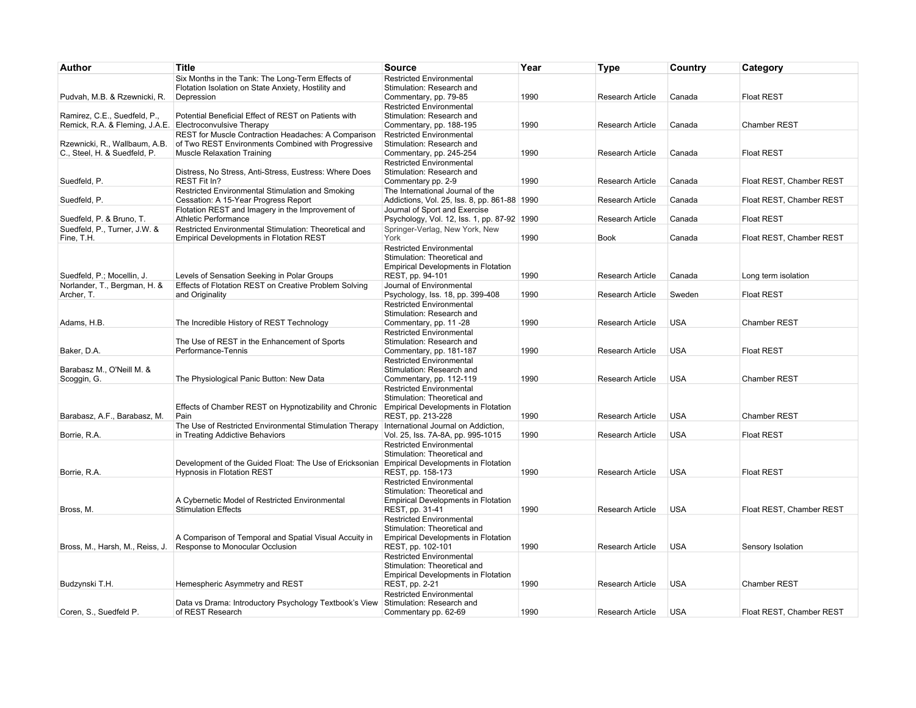| Author                                                                                   | <b>Title</b>                                                                                                                                   | <b>Source</b>                                                                           | Year | Type                    | Country    | Category                 |
|------------------------------------------------------------------------------------------|------------------------------------------------------------------------------------------------------------------------------------------------|-----------------------------------------------------------------------------------------|------|-------------------------|------------|--------------------------|
| Pudvah, M.B. & Rzewnicki, R.                                                             | Six Months in the Tank: The Long-Term Effects of<br>Flotation Isolation on State Anxiety, Hostility and<br>Depression                          | <b>Restricted Environmental</b><br>Stimulation: Research and<br>Commentary, pp. 79-85   | 1990 | <b>Research Article</b> | Canada     | <b>Float REST</b>        |
|                                                                                          |                                                                                                                                                | <b>Restricted Environmental</b>                                                         |      |                         |            |                          |
| Ramirez, C.E., Suedfeld, P.,<br>Remick, R.A. & Fleming, J.A.E. Electroconvulsive Therapy | Potential Beneficial Effect of REST on Patients with                                                                                           | Stimulation: Research and<br>Commentary, pp. 188-195                                    | 1990 | <b>Research Article</b> | Canada     | <b>Chamber REST</b>      |
| Rzewnicki, R., Wallbaum, A.B.<br>C., Steel, H. & Suedfeld, P.                            | REST for Muscle Contraction Headaches: A Comparison<br>of Two REST Environments Combined with Progressive<br><b>Muscle Relaxation Training</b> | <b>Restricted Environmental</b><br>Stimulation: Research and<br>Commentary, pp. 245-254 | 1990 | <b>Research Article</b> | Canada     | <b>Float REST</b>        |
| Suedfeld, P.                                                                             | Distress, No Stress, Anti-Stress, Eustress: Where Does<br><b>REST Fit In?</b>                                                                  | <b>Restricted Environmental</b><br>Stimulation: Research and<br>Commentary pp. 2-9      | 1990 | <b>Research Article</b> | Canada     | Float REST, Chamber REST |
|                                                                                          | Restricted Environmental Stimulation and Smoking                                                                                               | The International Journal of the                                                        |      |                         |            |                          |
| Suedfeld, P.                                                                             | Cessation: A 15-Year Progress Report                                                                                                           | Addictions, Vol. 25, Iss. 8, pp. 861-88   1990                                          |      | <b>Research Article</b> | Canada     | Float REST, Chamber REST |
| Suedfeld, P. & Bruno, T.                                                                 | Flotation REST and Imagery in the Improvement of<br>Athletic Performance                                                                       | Journal of Sport and Exercise<br>Psychology, Vol. 12, Iss. 1, pp. 87-92   1990          |      | <b>Research Article</b> | Canada     | <b>Float REST</b>        |
| Suedfeld, P., Turner, J.W. &<br>Fine, T.H.                                               | Restricted Environmental Stimulation: Theoretical and<br><b>Empirical Developments in Flotation REST</b>                                       | Springer-Verlag, New York, New<br>York                                                  | 1990 | Book                    | Canada     | Float REST, Chamber REST |
|                                                                                          |                                                                                                                                                | <b>Restricted Environmental</b>                                                         |      |                         |            |                          |
|                                                                                          |                                                                                                                                                | Stimulation: Theoretical and<br><b>Empirical Developments in Flotation</b>              |      |                         |            |                          |
| Suedfeld, P.; Mocellin, J.                                                               | Levels of Sensation Seeking in Polar Groups                                                                                                    | REST, pp. 94-101                                                                        | 1990 | <b>Research Article</b> | Canada     | Long term isolation      |
| Norlander, T., Bergman, H. &                                                             | Effects of Flotation REST on Creative Problem Solving                                                                                          | Journal of Environmental                                                                |      |                         |            |                          |
| Archer, T.                                                                               | and Originality                                                                                                                                | Psychology, Iss. 18, pp. 399-408<br><b>Restricted Environmental</b>                     | 1990 | Research Article        | Sweden     | <b>Float REST</b>        |
|                                                                                          |                                                                                                                                                | Stimulation: Research and                                                               |      |                         |            |                          |
| Adams, H.B.                                                                              | The Incredible History of REST Technology                                                                                                      | Commentary, pp. 11 -28                                                                  | 1990 | Research Article        | <b>USA</b> | Chamber REST             |
|                                                                                          | The Use of REST in the Enhancement of Sports                                                                                                   | <b>Restricted Environmental</b><br>Stimulation: Research and                            |      |                         |            |                          |
| Baker, D.A.                                                                              | Performance-Tennis                                                                                                                             | Commentary, pp. 181-187                                                                 | 1990 | Research Article        | <b>USA</b> | <b>Float REST</b>        |
|                                                                                          |                                                                                                                                                | <b>Restricted Environmental</b>                                                         |      |                         |            |                          |
| Barabasz M., O'Neill M. &<br>Scoggin, G.                                                 | The Physiological Panic Button: New Data                                                                                                       | Stimulation: Research and<br>Commentary, pp. 112-119                                    | 1990 | <b>Research Article</b> | <b>USA</b> | Chamber REST             |
|                                                                                          |                                                                                                                                                | <b>Restricted Environmental</b>                                                         |      |                         |            |                          |
|                                                                                          |                                                                                                                                                | Stimulation: Theoretical and                                                            |      |                         |            |                          |
| Barabasz, A.F., Barabasz, M.                                                             | Effects of Chamber REST on Hypnotizability and Chronic<br>Pain                                                                                 | <b>Empirical Developments in Flotation</b><br>REST, pp. 213-228                         | 1990 | <b>Research Article</b> | <b>USA</b> | Chamber REST             |
|                                                                                          | The Use of Restricted Environmental Stimulation Therapy                                                                                        | International Journal on Addiction,                                                     |      |                         |            |                          |
| Borrie, R.A.                                                                             | in Treating Addictive Behaviors                                                                                                                | Vol. 25, Iss. 7A-8A, pp. 995-1015                                                       | 1990 | <b>Research Article</b> | <b>USA</b> | <b>Float REST</b>        |
|                                                                                          |                                                                                                                                                | <b>Restricted Environmental</b><br>Stimulation: Theoretical and                         |      |                         |            |                          |
|                                                                                          | Development of the Guided Float: The Use of Ericksonian                                                                                        | Empirical Developments in Flotation                                                     |      |                         |            |                          |
| Borrie, R.A.                                                                             | <b>Hypnosis in Flotation REST</b>                                                                                                              | REST, pp. 158-173                                                                       | 1990 | Research Article        | <b>USA</b> | <b>Float REST</b>        |
|                                                                                          |                                                                                                                                                | <b>Restricted Environmental</b><br>Stimulation: Theoretical and                         |      |                         |            |                          |
|                                                                                          | A Cybernetic Model of Restricted Environmental                                                                                                 | Empirical Developments in Flotation                                                     |      |                         |            |                          |
| Bross, M.                                                                                | <b>Stimulation Effects</b>                                                                                                                     | REST, pp. 31-41                                                                         | 1990 | Research Article        | <b>USA</b> | Float REST, Chamber REST |
|                                                                                          |                                                                                                                                                | <b>Restricted Environmental</b><br>Stimulation: Theoretical and                         |      |                         |            |                          |
|                                                                                          | A Comparison of Temporal and Spatial Visual Accuity in                                                                                         | <b>Empirical Developments in Flotation</b>                                              |      |                         |            |                          |
| Bross, M., Harsh, M., Reiss, J.                                                          | Response to Monocular Occlusion                                                                                                                | REST, pp. 102-101                                                                       | 1990 | Research Article        | <b>USA</b> | Sensory Isolation        |
|                                                                                          |                                                                                                                                                | <b>Restricted Environmental</b><br>Stimulation: Theoretical and                         |      |                         |            |                          |
|                                                                                          |                                                                                                                                                | <b>Empirical Developments in Flotation</b>                                              |      |                         |            |                          |
| Budzynski T.H.                                                                           | Hemespheric Asymmetry and REST                                                                                                                 | REST, pp. 2-21                                                                          | 1990 | Research Article        | <b>USA</b> | Chamber REST             |
|                                                                                          | Data vs Drama: Introductory Psychology Textbook's View                                                                                         | <b>Restricted Environmental</b><br>Stimulation: Research and                            |      |                         |            |                          |
| Coren, S., Suedfeld P.                                                                   | of REST Research                                                                                                                               | Commentary pp. 62-69                                                                    | 1990 | <b>Research Article</b> | <b>USA</b> | Float REST, Chamber REST |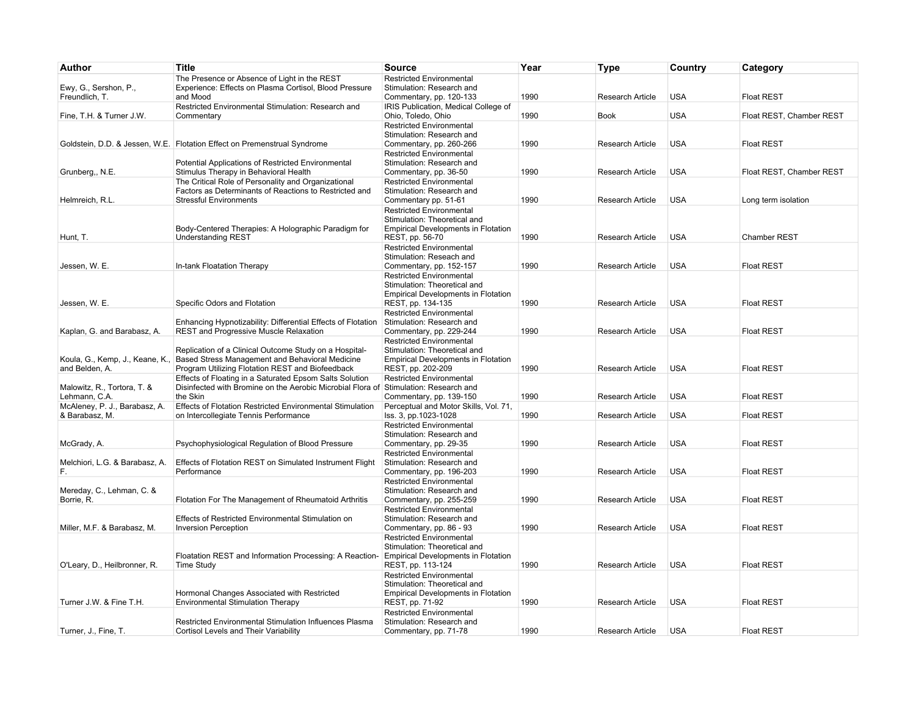| Author                                  | <b>Title</b>                                                                                                          | <b>Source</b>                                                                           | Year | <b>Type</b>             | Country    | Category                 |
|-----------------------------------------|-----------------------------------------------------------------------------------------------------------------------|-----------------------------------------------------------------------------------------|------|-------------------------|------------|--------------------------|
| Ewy, G., Sershon, P.,<br>Freundlich, T. | The Presence or Absence of Light in the REST<br>Experience: Effects on Plasma Cortisol, Blood Pressure<br>and Mood    | <b>Restricted Environmental</b><br>Stimulation: Research and<br>Commentary, pp. 120-133 | 1990 | <b>Research Article</b> | <b>USA</b> | <b>Float REST</b>        |
|                                         | Restricted Environmental Stimulation: Research and                                                                    | IRIS Publication, Medical College of                                                    |      |                         |            |                          |
| Fine, T.H. & Turner J.W.                | Commentary                                                                                                            | Ohio, Toledo, Ohio                                                                      | 1990 | <b>Book</b>             | <b>USA</b> | Float REST, Chamber REST |
|                                         | Goldstein, D.D. & Jessen, W.E. Flotation Effect on Premenstrual Syndrome                                              | <b>Restricted Environmental</b><br>Stimulation: Research and<br>Commentary, pp. 260-266 | 1990 | <b>Research Article</b> | <b>USA</b> | <b>Float REST</b>        |
|                                         |                                                                                                                       | <b>Restricted Environmental</b>                                                         |      |                         |            |                          |
| Grunberg,, N.E.                         | Potential Applications of Restricted Environmental<br>Stimulus Therapy in Behavioral Health                           | Stimulation: Research and<br>Commentary, pp. 36-50                                      | 1990 | Research Article        | <b>USA</b> | Float REST, Chamber REST |
|                                         | The Critical Role of Personality and Organizational                                                                   | <b>Restricted Environmental</b>                                                         |      |                         |            |                          |
|                                         | Factors as Determinants of Reactions to Restricted and                                                                | Stimulation: Research and                                                               |      |                         |            |                          |
| Helmreich, R.L.                         | <b>Stressful Environments</b>                                                                                         | Commentary pp. 51-61                                                                    | 1990 | Research Article        | <b>USA</b> | Long term isolation      |
|                                         |                                                                                                                       | <b>Restricted Environmental</b><br>Stimulation: Theoretical and                         |      |                         |            |                          |
|                                         | Body-Centered Therapies: A Holographic Paradigm for                                                                   | <b>Empirical Developments in Flotation</b>                                              |      |                         |            |                          |
| Hunt, T.                                | <b>Understanding REST</b>                                                                                             | REST, pp. 56-70                                                                         | 1990 | Research Article        | <b>USA</b> | <b>Chamber REST</b>      |
|                                         |                                                                                                                       | <b>Restricted Environmental</b>                                                         |      |                         |            |                          |
|                                         |                                                                                                                       | Stimulation: Reseach and                                                                |      |                         |            |                          |
| Jessen, W. E.                           | In-tank Floatation Therapy                                                                                            | Commentary, pp. 152-157<br>Restricted Environmental                                     | 1990 | Research Article        | <b>USA</b> | <b>Float REST</b>        |
|                                         |                                                                                                                       | Stimulation: Theoretical and                                                            |      |                         |            |                          |
|                                         |                                                                                                                       | <b>Empirical Developments in Flotation</b>                                              |      |                         |            |                          |
| Jessen, W. E.                           | Specific Odors and Flotation                                                                                          | REST, pp. 134-135                                                                       | 1990 | Research Article        | <b>USA</b> | <b>Float REST</b>        |
|                                         |                                                                                                                       | <b>Restricted Environmental</b>                                                         |      |                         |            |                          |
| Kaplan, G. and Barabasz, A.             | Enhancing Hypnotizability: Differential Effects of Flotation<br>REST and Progressive Muscle Relaxation                | Stimulation: Research and<br>Commentary, pp. 229-244                                    | 1990 | Research Article        | <b>USA</b> | <b>Float REST</b>        |
|                                         |                                                                                                                       | <b>Restricted Environmental</b>                                                         |      |                         |            |                          |
|                                         | Replication of a Clinical Outcome Study on a Hospital-                                                                | Stimulation: Theoretical and                                                            |      |                         |            |                          |
| Koula, G., Kemp, J., Keane, K.,         | Based Stress Management and Behavioral Medicine                                                                       | <b>Empirical Developments in Flotation</b>                                              |      |                         |            |                          |
| and Belden, A.                          | Program Utilizing Flotation REST and Biofeedback                                                                      | REST, pp. 202-209                                                                       | 1990 | Research Article        | <b>USA</b> | <b>Float REST</b>        |
| Malowitz, R., Tortora, T. &             | Effects of Floating in a Saturated Epsom Salts Solution<br>Disinfected with Bromine on the Aerobic Microbial Flora of | Restricted Environmental<br>Stimulation: Research and                                   |      |                         |            |                          |
| Lehmann, C.A.                           | the Skin                                                                                                              | Commentary, pp. 139-150                                                                 | 1990 | Research Article        | <b>USA</b> | <b>Float REST</b>        |
| McAleney, P. J., Barabasz, A.           | Effects of Flotation Restricted Environmental Stimulation                                                             | Perceptual and Motor Skills, Vol. 71,                                                   |      |                         |            |                          |
| & Barabasz, M.                          | on Intercollegiate Tennis Performance                                                                                 | Iss. 3, pp.1023-1028                                                                    | 1990 | Research Article        | <b>USA</b> | <b>Float REST</b>        |
|                                         |                                                                                                                       | <b>Restricted Environmental</b>                                                         |      |                         |            |                          |
| McGrady, A.                             | Psychophysiological Regulation of Blood Pressure                                                                      | Stimulation: Research and<br>Commentary, pp. 29-35                                      | 1990 | Research Article        | <b>USA</b> | <b>Float REST</b>        |
|                                         |                                                                                                                       | <b>Restricted Environmental</b>                                                         |      |                         |            |                          |
| Melchiori, L.G. & Barabasz, A.          | Effects of Flotation REST on Simulated Instrument Flight                                                              | Stimulation: Research and                                                               |      |                         |            |                          |
| F.                                      | Performance                                                                                                           | Commentary, pp. 196-203                                                                 | 1990 | Research Article        | <b>USA</b> | <b>Float REST</b>        |
|                                         |                                                                                                                       | <b>Restricted Environmental</b>                                                         |      |                         |            |                          |
| Mereday, C., Lehman, C. &<br>Borrie, R. | Flotation For The Management of Rheumatoid Arthritis                                                                  | Stimulation: Research and<br>Commentary, pp. 255-259                                    | 1990 | Research Article        | <b>USA</b> | <b>Float REST</b>        |
|                                         |                                                                                                                       | <b>Restricted Environmental</b>                                                         |      |                         |            |                          |
|                                         | Effects of Restricted Environmental Stimulation on                                                                    | Stimulation: Research and                                                               |      |                         |            |                          |
| Miller, M.F. & Barabasz, M.             | <b>Inversion Perception</b>                                                                                           | Commentary, pp. 86 - 93                                                                 | 1990 | Research Article        | <b>USA</b> | <b>Float REST</b>        |
|                                         |                                                                                                                       | <b>Restricted Environmental</b><br>Stimulation: Theoretical and                         |      |                         |            |                          |
|                                         | Floatation REST and Information Processing: A Reaction-                                                               | <b>Empirical Developments in Flotation</b>                                              |      |                         |            |                          |
| O'Leary, D., Heilbronner, R.            | Time Study                                                                                                            | REST, pp. 113-124                                                                       | 1990 | Research Article        | <b>USA</b> | <b>Float REST</b>        |
|                                         |                                                                                                                       | <b>Restricted Environmental</b>                                                         |      |                         |            |                          |
|                                         |                                                                                                                       | Stimulation: Theoretical and                                                            |      |                         |            |                          |
| Turner J.W. & Fine T.H.                 | Hormonal Changes Associated with Restricted<br><b>Environmental Stimulation Therapy</b>                               | <b>Empirical Developments in Flotation</b>                                              | 1990 | Research Article        | <b>USA</b> | <b>Float REST</b>        |
|                                         |                                                                                                                       | REST, pp. 71-92<br><b>Restricted Environmental</b>                                      |      |                         |            |                          |
|                                         | Restricted Environmental Stimulation Influences Plasma                                                                | Stimulation: Research and                                                               |      |                         |            |                          |
| Turner, J., Fine, T.                    | Cortisol Levels and Their Variability                                                                                 | Commentary, pp. 71-78                                                                   | 1990 | Research Article        | <b>USA</b> | <b>Float REST</b>        |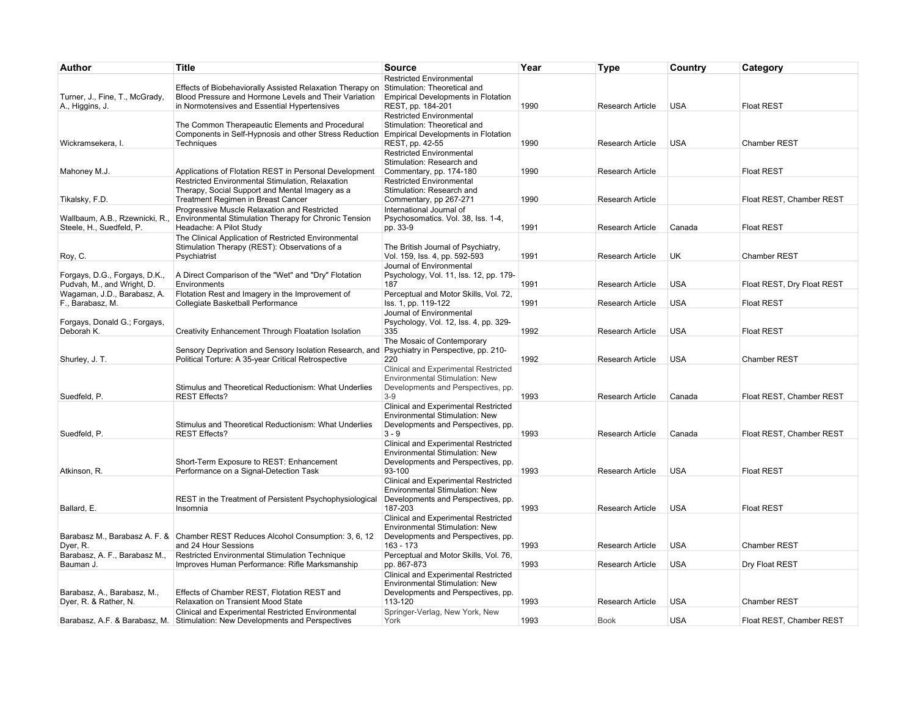| Author                                                      | <b>Title</b>                                                                                                                                                       | <b>Source</b>                                                                                                                    | Year | <b>Type</b>             | Country    | Category                   |
|-------------------------------------------------------------|--------------------------------------------------------------------------------------------------------------------------------------------------------------------|----------------------------------------------------------------------------------------------------------------------------------|------|-------------------------|------------|----------------------------|
| Turner, J., Fine, T., McGrady,<br>A., Higgins, J.           | Effects of Biobehaviorally Assisted Relaxation Therapy on<br>Blood Pressure and Hormone Levels and Their Variation<br>in Normotensives and Essential Hypertensives | Restricted Environmental<br>Stimulation: Theoretical and<br><b>Empirical Developments in Flotation</b><br>REST, pp. 184-201      | 1990 | Research Article        | <b>USA</b> | <b>Float REST</b>          |
| Wickramsekera, I.                                           | The Common Therapeautic Elements and Procedural<br>Components in Self-Hypnosis and other Stress Reduction<br>Techniques                                            | <b>Restricted Environmental</b><br>Stimulation: Theoretical and<br><b>Empirical Developments in Flotation</b><br>REST, pp. 42-55 | 1990 | Research Article        | <b>USA</b> | Chamber REST               |
| Mahoney M.J.                                                | Applications of Flotation REST in Personal Development                                                                                                             | <b>Restricted Environmental</b><br>Stimulation: Research and<br>Commentary, pp. 174-180                                          | 1990 | Research Article        |            | <b>Float REST</b>          |
| Tikalsky, F.D.                                              | Restricted Environmental Stimulation, Relaxation<br>Therapy, Social Support and Mental Imagery as a<br>Treatment Regimen in Breast Cancer                          | <b>Restricted Environmental</b><br>Stimulation: Research and<br>Commentary, pp 267-271                                           | 1990 | Research Article        |            | Float REST, Chamber REST   |
| Wallbaum, A.B., Rzewnicki, R.<br>Steele, H., Suedfeld, P.   | Progressive Muscle Relaxation and Restricted<br>Environmental Stimulation Therapy for Chronic Tension<br>Headache: A Pilot Study                                   | International Journal of<br>Psychosomatics. Vol. 38, lss. 1-4,<br>pp. 33-9                                                       | 1991 | Research Article        | Canada     | <b>Float REST</b>          |
| Roy, C.                                                     | The Clinical Application of Restricted Environmental<br>Stimulation Therapy (REST): Observations of a<br>Psychiatrist                                              | The British Journal of Psychiatry,<br>Vol. 159, Iss. 4, pp. 592-593                                                              | 1991 | Research Article        | UK         | <b>Chamber REST</b>        |
| Forgays, D.G., Forgays, D.K.,<br>Pudvah, M., and Wright, D. | A Direct Comparison of the "Wet" and "Dry" Flotation<br>Environments                                                                                               | Journal of Environmental<br>Psychology, Vol. 11, Iss. 12, pp. 179-<br>187                                                        | 1991 | Research Article        | <b>USA</b> | Float REST, Dry Float REST |
| Wagaman, J.D., Barabasz, A.<br>F., Barabasz, M.             | Flotation Rest and Imagery in the Improvement of<br>Collegiate Basketball Performance                                                                              | Perceptual and Motor Skills, Vol. 72,<br>Iss. 1, pp. 119-122<br>Journal of Environmental                                         | 1991 | Research Article        | <b>USA</b> | <b>Float REST</b>          |
| Forgays, Donald G.; Forgays,<br>Deborah K.                  | Creativity Enhancement Through Floatation Isolation                                                                                                                | Psychology, Vol. 12, Iss. 4, pp. 329-<br>335<br>The Mosaic of Contemporary                                                       | 1992 | Research Article        | <b>USA</b> | <b>Float REST</b>          |
| Shurley, J. T.                                              | Sensory Deprivation and Sensory Isolation Research, and<br>Political Torture: A 35-year Critical Retrospective                                                     | Psychiatry in Perspective, pp. 210-<br>220                                                                                       | 1992 | Research Article        | <b>USA</b> | <b>Chamber REST</b>        |
| Suedfeld, P.                                                | Stimulus and Theoretical Reductionism: What Underlies<br><b>REST Effects?</b>                                                                                      | Clinical and Experimental Restricted<br>Environmental Stimulation: New<br>Developments and Perspectives, pp.<br>$3-9$            | 1993 | <b>Research Article</b> | Canada     | Float REST, Chamber REST   |
| Suedfeld, P.                                                | Stimulus and Theoretical Reductionism: What Underlies<br><b>REST Effects?</b>                                                                                      | Clinical and Experimental Restricted<br>Environmental Stimulation: New<br>Developments and Perspectives, pp.<br>$3 - 9$          | 1993 | <b>Research Article</b> | Canada     | Float REST, Chamber REST   |
| Atkinson, R.                                                | Short-Term Exposure to REST: Enhancement<br>Performance on a Signal-Detection Task                                                                                 | Clinical and Experimental Restricted<br>Environmental Stimulation: New<br>Developments and Perspectives, pp.<br>93-100           | 1993 | Research Article        | <b>USA</b> | <b>Float REST</b>          |
| Ballard, E.                                                 | REST in the Treatment of Persistent Psychophysiological<br>Insomnia                                                                                                | Clinical and Experimental Restricted<br>Environmental Stimulation: New<br>Developments and Perspectives, pp.<br>187-203          | 1993 | Research Article        | USA        | <b>Float REST</b>          |
| Dyer, R.                                                    | Barabasz M., Barabasz A. F. & Chamber REST Reduces Alcohol Consumption: 3, 6, 12<br>and 24 Hour Sessions                                                           | Clinical and Experimental Restricted<br>Environmental Stimulation: New<br>Developments and Perspectives, pp.<br>163 - 173        | 1993 | <b>Research Article</b> | <b>USA</b> | <b>Chamber REST</b>        |
| Barabasz, A. F., Barabasz M.,<br>Bauman J.                  | Restricted Environmental Stimulation Technique<br>Improves Human Performance: Rifle Marksmanship                                                                   | Perceptual and Motor Skills, Vol. 76,<br>pp. 867-873                                                                             | 1993 | <b>Research Article</b> | <b>USA</b> | Dry Float REST             |
| Barabasz, A., Barabasz, M.,                                 | Effects of Chamber REST, Flotation REST and                                                                                                                        | Clinical and Experimental Restricted<br>Environmental Stimulation: New<br>Developments and Perspectives, pp.                     |      |                         |            |                            |
| Dyer, R. & Rather, N.                                       | Relaxation on Transient Mood State<br>Clinical and Experimental Restricted Environmental                                                                           | 113-120<br>Springer-Verlag, New York, New                                                                                        | 1993 | <b>Research Article</b> | <b>USA</b> | <b>Chamber REST</b>        |
| Barabasz, A.F. & Barabasz, M.                               | Stimulation: New Developments and Perspectives                                                                                                                     | York                                                                                                                             | 1993 | <b>Book</b>             | <b>USA</b> | Float REST, Chamber REST   |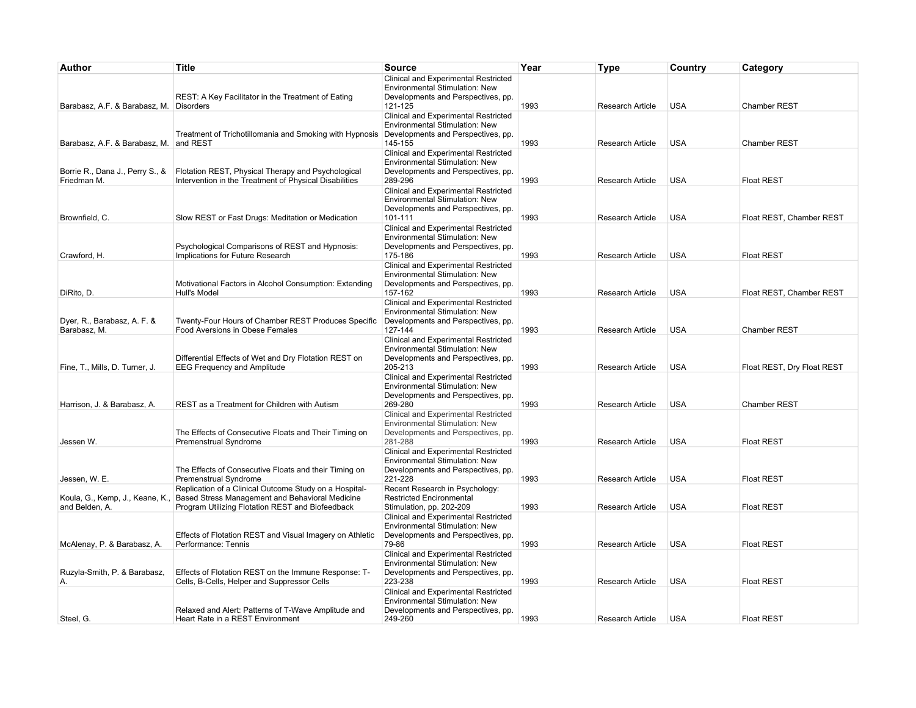| Author                                            | <b>Title</b>                                                                                                                                                  | <b>Source</b>                                                                                                                  | Year | Type                    | Country    | Category                   |
|---------------------------------------------------|---------------------------------------------------------------------------------------------------------------------------------------------------------------|--------------------------------------------------------------------------------------------------------------------------------|------|-------------------------|------------|----------------------------|
|                                                   | REST: A Key Facilitator in the Treatment of Eating                                                                                                            | Clinical and Experimental Restricted<br>Environmental Stimulation: New<br>Developments and Perspectives, pp.                   |      |                         |            |                            |
| Barabasz, A.F. & Barabasz, M. Disorders           |                                                                                                                                                               | 121-125                                                                                                                        | 1993 | Research Article        | <b>USA</b> | <b>Chamber REST</b>        |
| Barabasz, A.F. & Barabasz, M. and REST            | Treatment of Trichotillomania and Smoking with Hypnosis                                                                                                       | Clinical and Experimental Restricted<br><b>Environmental Stimulation: New</b><br>Developments and Perspectives, pp.<br>145-155 | 1993 | <b>Research Article</b> | <b>USA</b> | <b>Chamber REST</b>        |
| Borrie R., Dana J., Perry S., &                   | Flotation REST, Physical Therapy and Psychological                                                                                                            | Clinical and Experimental Restricted<br>Environmental Stimulation: New<br>Developments and Perspectives, pp.                   |      |                         |            |                            |
| Friedman M.                                       | Intervention in the Treatment of Physical Disabilities                                                                                                        | 289-296<br>Clinical and Experimental Restricted<br><b>Environmental Stimulation: New</b><br>Developments and Perspectives, pp. | 1993 | Research Article        | <b>USA</b> | <b>Float REST</b>          |
| Brownfield, C.                                    | Slow REST or Fast Drugs: Meditation or Medication                                                                                                             | 101-111                                                                                                                        | 1993 | <b>Research Article</b> | <b>USA</b> | Float REST, Chamber REST   |
|                                                   | Psychological Comparisons of REST and Hypnosis:                                                                                                               | Clinical and Experimental Restricted<br>Environmental Stimulation: New<br>Developments and Perspectives, pp.                   |      |                         |            |                            |
| Crawford, H.                                      | Implications for Future Research<br>Motivational Factors in Alcohol Consumption: Extending                                                                    | 175-186<br>Clinical and Experimental Restricted<br>Environmental Stimulation: New<br>Developments and Perspectives, pp.        | 1993 | Research Article        | <b>USA</b> | <b>Float REST</b>          |
| DiRito, D.                                        | Hull's Model                                                                                                                                                  | 157-162                                                                                                                        | 1993 | Research Article        | <b>USA</b> | Float REST, Chamber REST   |
| Dyer, R., Barabasz, A. F. &<br>Barabasz, M.       | Twenty-Four Hours of Chamber REST Produces Specific<br>Food Aversions in Obese Females                                                                        | Clinical and Experimental Restricted<br><b>Environmental Stimulation: New</b><br>Developments and Perspectives, pp.<br>127-144 | 1993 | Research Article        | <b>USA</b> | <b>Chamber REST</b>        |
| Fine, T., Mills, D. Turner, J.                    | Differential Effects of Wet and Dry Flotation REST on<br><b>EEG Frequency and Amplitude</b>                                                                   | Clinical and Experimental Restricted<br>Environmental Stimulation: New<br>Developments and Perspectives, pp.<br>205-213        | 1993 | Research Article        | <b>USA</b> | Float REST, Dry Float REST |
| Harrison, J. & Barabasz, A.                       | REST as a Treatment for Children with Autism                                                                                                                  | Clinical and Experimental Restricted<br>Environmental Stimulation: New<br>Developments and Perspectives, pp.<br>269-280        | 1993 | Research Article        | <b>USA</b> | <b>Chamber REST</b>        |
| Jessen W.                                         | The Effects of Consecutive Floats and Their Timing on                                                                                                         | Clinical and Experimental Restricted<br>Environmental Stimulation: New<br>Developments and Perspectives, pp.<br>281-288        | 1993 | <b>Research Article</b> | <b>USA</b> | <b>Float REST</b>          |
|                                                   | Premenstrual Syndrome<br>The Effects of Consecutive Floats and their Timing on                                                                                | Clinical and Experimental Restricted<br>Environmental Stimulation: New<br>Developments and Perspectives, pp.                   |      |                         |            |                            |
| Jessen, W. E.                                     | Premenstrual Syndrome                                                                                                                                         | 221-228                                                                                                                        | 1993 | Research Article        | <b>USA</b> | <b>Float REST</b>          |
| Koula, G., Kemp, J., Keane, K.,<br>and Belden, A. | Replication of a Clinical Outcome Study on a Hospital-<br>Based Stress Management and Behavioral Medicine<br>Program Utilizing Flotation REST and Biofeedback | Recent Research in Psychology:<br><b>Restricted Encironmental</b><br>Stimulation, pp. 202-209                                  | 1993 | Research Article        | <b>USA</b> | <b>Float REST</b>          |
| McAlenay, P. & Barabasz, A.                       | Effects of Flotation REST and Visual Imagery on Athletic<br>Performance: Tennis                                                                               | Clinical and Experimental Restricted<br>Environmental Stimulation: New<br>Developments and Perspectives, pp.<br>79-86          | 1993 | <b>Research Article</b> | <b>USA</b> | <b>Float REST</b>          |
| Ruzyla-Smith, P. & Barabasz,                      | Effects of Flotation REST on the Immune Response: T-                                                                                                          | Clinical and Experimental Restricted<br>Environmental Stimulation: New<br>Developments and Perspectives, pp.                   |      |                         |            |                            |
| Α.                                                | Cells, B-Cells, Helper and Suppressor Cells<br>Relaxed and Alert: Patterns of T-Wave Amplitude and                                                            | 223-238<br>Clinical and Experimental Restricted<br>Environmental Stimulation: New<br>Developments and Perspectives, pp.        | 1993 | Research Article        | <b>USA</b> | <b>Float REST</b>          |
| Steel, G.                                         | Heart Rate in a REST Environment                                                                                                                              | 249-260                                                                                                                        | 1993 | Research Article        | <b>USA</b> | <b>Float REST</b>          |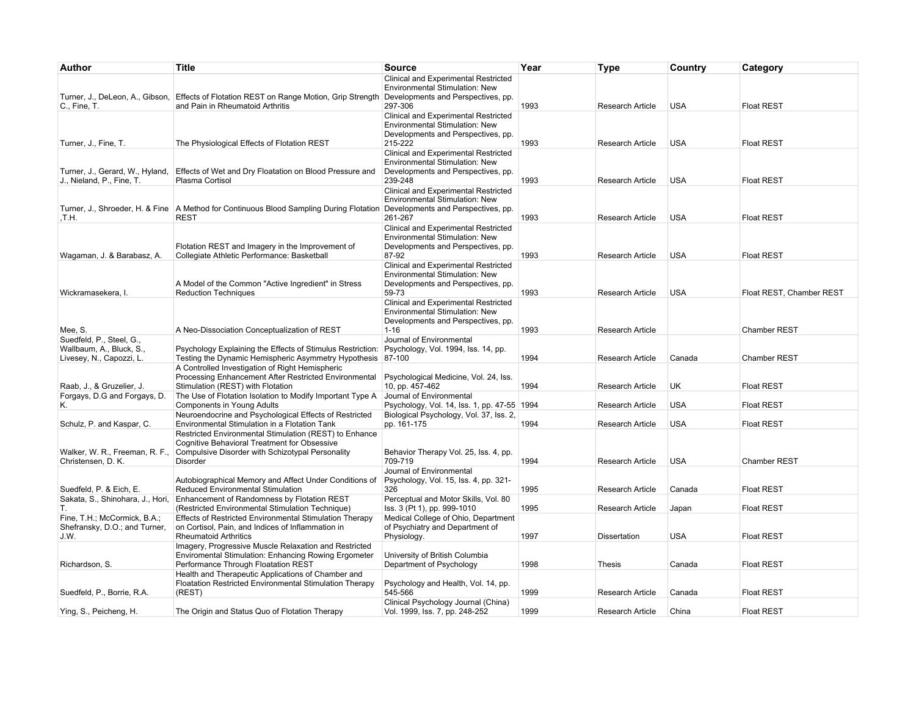| Author                                                                           | <b>Title</b>                                                                                                                                                          | <b>Source</b>                                                                                                                   | Year | Type                    | Country    | Category                 |
|----------------------------------------------------------------------------------|-----------------------------------------------------------------------------------------------------------------------------------------------------------------------|---------------------------------------------------------------------------------------------------------------------------------|------|-------------------------|------------|--------------------------|
| C., Fine, T.                                                                     | Turner, J., DeLeon, A., Gibson, Effects of Flotation REST on Range Motion, Grip Strength<br>and Pain in Rheumatoid Arthritis                                          | Clinical and Experimental Restricted<br><b>Environmental Stimulation: New</b><br>Developments and Perspectives, pp.<br>297-306  | 1993 | Research Article        | <b>USA</b> | <b>Float REST</b>        |
| Turner, J., Fine, T.                                                             | The Physiological Effects of Flotation REST                                                                                                                           | Clinical and Experimental Restricted<br>Environmental Stimulation: New<br>Developments and Perspectives, pp.<br>215-222         | 1993 | Research Article        | <b>USA</b> | <b>Float REST</b>        |
| Turner, J., Gerard, W., Hyland,<br>J., Nieland, P., Fine, T.                     | Effects of Wet and Dry Floatation on Blood Pressure and<br>Plasma Cortisol                                                                                            | Clinical and Experimental Restricted<br>Environmental Stimulation: New<br>Developments and Perspectives, pp.<br>239-248         | 1993 | Research Article        | <b>USA</b> | <b>Float REST</b>        |
| .T.H.                                                                            | Turner, J., Shroeder, H. & Fine   A Method for Continuous Blood Sampling During Flotation<br>REST                                                                     | Clinical and Experimental Restricted<br>Environmental Stimulation: New<br>Developments and Perspectives, pp.<br>261-267         | 1993 | Research Article        | <b>USA</b> | <b>Float REST</b>        |
| Wagaman, J. & Barabasz, A.                                                       | Flotation REST and Imagery in the Improvement of<br>Collegiate Athletic Performance: Basketball                                                                       | Clinical and Experimental Restricted<br>Environmental Stimulation: New<br>Developments and Perspectives, pp.<br>87-92           | 1993 | Research Article        | <b>USA</b> | <b>Float REST</b>        |
| Wickramasekera, I.                                                               | A Model of the Common "Active Ingredient" in Stress<br><b>Reduction Techniques</b>                                                                                    | Clinical and Experimental Restricted<br>Environmental Stimulation: New<br>Developments and Perspectives, pp.<br>59-73           | 1993 | Research Article        | <b>USA</b> | Float REST, Chamber REST |
| Mee, S.                                                                          | A Neo-Dissociation Conceptualization of REST                                                                                                                          | Clinical and Experimental Restricted<br><b>Environmental Stimulation: New</b><br>Developments and Perspectives, pp.<br>$1 - 16$ | 1993 | <b>Research Article</b> |            | <b>Chamber REST</b>      |
| Suedfeld, P., Steel, G.,<br>Wallbaum, A., Bluck, S.,<br>Livesey, N., Capozzi, L. | Psychology Explaining the Effects of Stimulus Restriction:<br>Testing the Dynamic Hemispheric Asymmetry Hypothesis<br>A Controlled Investigation of Right Hemispheric | Journal of Environmental<br>Psychology, Vol. 1994, Iss. 14, pp.<br>87-100                                                       | 1994 | <b>Research Article</b> | Canada     | Chamber REST             |
| Raab, J., & Gruzelier, J.                                                        | Processing Enhancement After Restricted Environmental<br>Stimulation (REST) with Flotation                                                                            | Psychological Medicine, Vol. 24, Iss.<br>10, pp. 457-462                                                                        | 1994 | Research Article        | UK         | <b>Float REST</b>        |
| Forgays, D.G and Forgays, D.<br>Κ.                                               | The Use of Flotation Isolation to Modify Important Type A<br>Components in Young Adults                                                                               | Journal of Environmental<br>Psychology, Vol. 14, Iss. 1, pp. 47-55   1994                                                       |      | Research Article        | <b>USA</b> | <b>Float REST</b>        |
| Schulz, P. and Kaspar, C.                                                        | Neuroendocrine and Psychological Effects of Restricted<br>Environmental Stimulation in a Flotation Tank<br>Restricted Environmental Stimulation (REST) to Enhance     | Biological Psychology, Vol. 37, Iss. 2,<br>pp. 161-175                                                                          | 1994 | <b>Research Article</b> | <b>USA</b> | <b>Float REST</b>        |
| Walker, W. R., Freeman, R. F.,<br>Christensen, D. K.                             | Cognitive Behavioral Treatment for Obsessive<br>Compulsive Disorder with Schizotypal Personality<br>Disorder                                                          | Behavior Therapy Vol. 25, Iss. 4, pp.<br>709-719                                                                                | 1994 | <b>Research Article</b> | <b>USA</b> | Chamber REST             |
| Suedfeld, P. & Eich, E.                                                          | Autobiographical Memory and Affect Under Conditions of<br><b>Reduced Environmental Stimulation</b>                                                                    | Journal of Environmental<br>Psychology, Vol. 15, Iss. 4, pp. 321-<br>326                                                        | 1995 | Research Article        | Canada     | <b>Float REST</b>        |
| Sakata, S., Shinohara, J., Hori,<br>Τ.                                           | Enhancement of Randomness by Flotation REST<br>(Restricted Environmental Stimulation Technique)                                                                       | Perceptual and Motor Skills, Vol. 80<br>Iss. 3 (Pt 1), pp. 999-1010                                                             | 1995 | Research Article        | Japan      | <b>Float REST</b>        |
| Fine, T.H.; McCormick, B.A.;<br>Shefransky, D.O.; and Turner,<br>J.W.            | Effects of Restricted Environmental Stimulation Therapy<br>on Cortisol, Pain, and Indices of Inflammation in<br><b>Rheumatoid Arthritics</b>                          | Medical College of Ohio, Department<br>of Psychiatry and Department of<br>Physiology.                                           | 1997 | <b>Dissertation</b>     | <b>USA</b> | <b>Float REST</b>        |
| Richardson, S.                                                                   | Imagery, Progressive Muscle Relaxation and Restricted<br><b>Enviromental Stimulation: Enhancing Rowing Ergometer</b><br>Performance Through Floatation REST           | University of British Columbia<br>Department of Psychology                                                                      | 1998 | Thesis                  | Canada     | <b>Float REST</b>        |
| Suedfeld, P., Borrie, R.A.                                                       | Health and Therapeutic Applications of Chamber and<br>Floatation Restricted Environmental Stimulation Therapy<br>(REST)                                               | Psychology and Health, Vol. 14, pp.<br>545-566                                                                                  | 1999 | <b>Research Article</b> | Canada     | <b>Float REST</b>        |
| Ying, S., Peicheng, H.                                                           | The Origin and Status Quo of Flotation Therapy                                                                                                                        | Clinical Psychology Journal (China)<br>Vol. 1999, Iss. 7, pp. 248-252                                                           | 1999 | Research Article        | China      | <b>Float REST</b>        |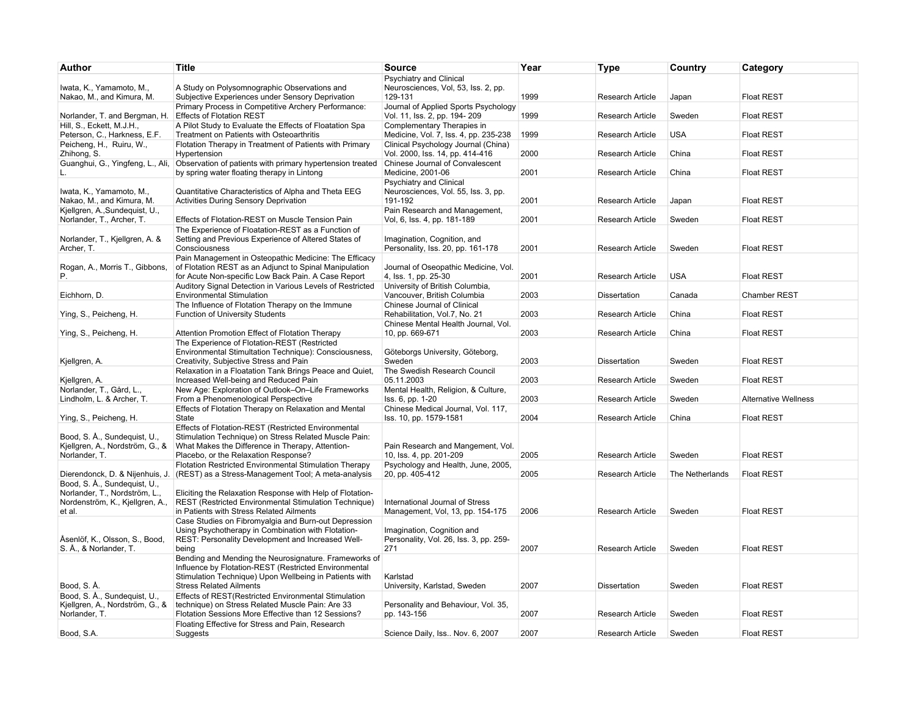| <b>Title</b>                                                                                                                                                    | <b>Source</b>                                                                                                                                                                                                                                                                                                                                                                                                                                                                                                                                                                                                                                                                                                                                                                                                                                                                                                                                                                                                                                                                                                                                                                                                                                                                          | Year                                                                                                                                                                                                                                                                                                                                                                                                                                         | <b>Type</b>                                                  | Country                                                                                                                                                                                                       | Category                                                                               |
|-----------------------------------------------------------------------------------------------------------------------------------------------------------------|----------------------------------------------------------------------------------------------------------------------------------------------------------------------------------------------------------------------------------------------------------------------------------------------------------------------------------------------------------------------------------------------------------------------------------------------------------------------------------------------------------------------------------------------------------------------------------------------------------------------------------------------------------------------------------------------------------------------------------------------------------------------------------------------------------------------------------------------------------------------------------------------------------------------------------------------------------------------------------------------------------------------------------------------------------------------------------------------------------------------------------------------------------------------------------------------------------------------------------------------------------------------------------------|----------------------------------------------------------------------------------------------------------------------------------------------------------------------------------------------------------------------------------------------------------------------------------------------------------------------------------------------------------------------------------------------------------------------------------------------|--------------------------------------------------------------|---------------------------------------------------------------------------------------------------------------------------------------------------------------------------------------------------------------|----------------------------------------------------------------------------------------|
| A Study on Polysomnographic Observations and                                                                                                                    | Psychiatry and Clinical<br>Neurosciences, Vol, 53, Iss. 2, pp.<br>129-131                                                                                                                                                                                                                                                                                                                                                                                                                                                                                                                                                                                                                                                                                                                                                                                                                                                                                                                                                                                                                                                                                                                                                                                                              | 1999                                                                                                                                                                                                                                                                                                                                                                                                                                         | <b>Research Article</b>                                      |                                                                                                                                                                                                               | <b>Float REST</b>                                                                      |
| Primary Process in Competitive Archery Performance:                                                                                                             | Journal of Applied Sports Psychology                                                                                                                                                                                                                                                                                                                                                                                                                                                                                                                                                                                                                                                                                                                                                                                                                                                                                                                                                                                                                                                                                                                                                                                                                                                   |                                                                                                                                                                                                                                                                                                                                                                                                                                              |                                                              |                                                                                                                                                                                                               | <b>Float REST</b>                                                                      |
| A Pilot Study to Evaluate the Effects of Floatation Spa                                                                                                         | Complementary Therapies in                                                                                                                                                                                                                                                                                                                                                                                                                                                                                                                                                                                                                                                                                                                                                                                                                                                                                                                                                                                                                                                                                                                                                                                                                                                             |                                                                                                                                                                                                                                                                                                                                                                                                                                              |                                                              |                                                                                                                                                                                                               | <b>Float REST</b>                                                                      |
| Flotation Therapy in Treatment of Patients with Primary                                                                                                         | Clinical Psychology Journal (China)                                                                                                                                                                                                                                                                                                                                                                                                                                                                                                                                                                                                                                                                                                                                                                                                                                                                                                                                                                                                                                                                                                                                                                                                                                                    |                                                                                                                                                                                                                                                                                                                                                                                                                                              |                                                              |                                                                                                                                                                                                               | <b>Float REST</b>                                                                      |
|                                                                                                                                                                 | Chinese Journal of Convalescent                                                                                                                                                                                                                                                                                                                                                                                                                                                                                                                                                                                                                                                                                                                                                                                                                                                                                                                                                                                                                                                                                                                                                                                                                                                        |                                                                                                                                                                                                                                                                                                                                                                                                                                              |                                                              |                                                                                                                                                                                                               | <b>Float REST</b>                                                                      |
|                                                                                                                                                                 | Psychiatry and Clinical                                                                                                                                                                                                                                                                                                                                                                                                                                                                                                                                                                                                                                                                                                                                                                                                                                                                                                                                                                                                                                                                                                                                                                                                                                                                |                                                                                                                                                                                                                                                                                                                                                                                                                                              |                                                              |                                                                                                                                                                                                               |                                                                                        |
| <b>Activities During Sensory Deprivation</b>                                                                                                                    | 191-192                                                                                                                                                                                                                                                                                                                                                                                                                                                                                                                                                                                                                                                                                                                                                                                                                                                                                                                                                                                                                                                                                                                                                                                                                                                                                | 2001                                                                                                                                                                                                                                                                                                                                                                                                                                         | <b>Research Article</b>                                      | Japan                                                                                                                                                                                                         | <b>Float REST</b>                                                                      |
| Effects of Flotation-REST on Muscle Tension Pain                                                                                                                | Vol, 6, Iss. 4, pp. 181-189                                                                                                                                                                                                                                                                                                                                                                                                                                                                                                                                                                                                                                                                                                                                                                                                                                                                                                                                                                                                                                                                                                                                                                                                                                                            | 2001                                                                                                                                                                                                                                                                                                                                                                                                                                         | <b>Research Article</b>                                      | Sweden                                                                                                                                                                                                        | <b>Float REST</b>                                                                      |
| Setting and Previous Experience of Altered States of                                                                                                            | Imagination, Cognition, and                                                                                                                                                                                                                                                                                                                                                                                                                                                                                                                                                                                                                                                                                                                                                                                                                                                                                                                                                                                                                                                                                                                                                                                                                                                            |                                                                                                                                                                                                                                                                                                                                                                                                                                              |                                                              |                                                                                                                                                                                                               |                                                                                        |
|                                                                                                                                                                 |                                                                                                                                                                                                                                                                                                                                                                                                                                                                                                                                                                                                                                                                                                                                                                                                                                                                                                                                                                                                                                                                                                                                                                                                                                                                                        |                                                                                                                                                                                                                                                                                                                                                                                                                                              |                                                              |                                                                                                                                                                                                               | <b>Float REST</b>                                                                      |
| for Acute Non-specific Low Back Pain. A Case Report                                                                                                             | Journal of Oseopathic Medicine, Vol.<br>4, lss. 1, pp. 25-30                                                                                                                                                                                                                                                                                                                                                                                                                                                                                                                                                                                                                                                                                                                                                                                                                                                                                                                                                                                                                                                                                                                                                                                                                           | 2001                                                                                                                                                                                                                                                                                                                                                                                                                                         | <b>Research Article</b>                                      | <b>USA</b>                                                                                                                                                                                                    | <b>Float REST</b>                                                                      |
| <b>Environmental Stimulation</b>                                                                                                                                | Vancouver, British Columbia                                                                                                                                                                                                                                                                                                                                                                                                                                                                                                                                                                                                                                                                                                                                                                                                                                                                                                                                                                                                                                                                                                                                                                                                                                                            | 2003                                                                                                                                                                                                                                                                                                                                                                                                                                         | <b>Dissertation</b>                                          | Canada                                                                                                                                                                                                        | <b>Chamber REST</b>                                                                    |
| <b>Function of University Students</b>                                                                                                                          | Chinese Journal of Clinical<br>Rehabilitation, Vol.7, No. 21                                                                                                                                                                                                                                                                                                                                                                                                                                                                                                                                                                                                                                                                                                                                                                                                                                                                                                                                                                                                                                                                                                                                                                                                                           | 2003                                                                                                                                                                                                                                                                                                                                                                                                                                         | <b>Research Article</b>                                      | China                                                                                                                                                                                                         | <b>Float REST</b>                                                                      |
|                                                                                                                                                                 | Chinese Mental Health Journal, Vol.                                                                                                                                                                                                                                                                                                                                                                                                                                                                                                                                                                                                                                                                                                                                                                                                                                                                                                                                                                                                                                                                                                                                                                                                                                                    |                                                                                                                                                                                                                                                                                                                                                                                                                                              |                                                              |                                                                                                                                                                                                               |                                                                                        |
| The Experience of Flotation-REST (Restricted                                                                                                                    |                                                                                                                                                                                                                                                                                                                                                                                                                                                                                                                                                                                                                                                                                                                                                                                                                                                                                                                                                                                                                                                                                                                                                                                                                                                                                        |                                                                                                                                                                                                                                                                                                                                                                                                                                              |                                                              |                                                                                                                                                                                                               | <b>Float REST</b>                                                                      |
| Creativity, Subjective Stress and Pain                                                                                                                          | Sweden                                                                                                                                                                                                                                                                                                                                                                                                                                                                                                                                                                                                                                                                                                                                                                                                                                                                                                                                                                                                                                                                                                                                                                                                                                                                                 | 2003                                                                                                                                                                                                                                                                                                                                                                                                                                         | <b>Dissertation</b>                                          | Sweden                                                                                                                                                                                                        | <b>Float REST</b>                                                                      |
| Increased Well-being and Reduced Pain                                                                                                                           | 05.11.2003                                                                                                                                                                                                                                                                                                                                                                                                                                                                                                                                                                                                                                                                                                                                                                                                                                                                                                                                                                                                                                                                                                                                                                                                                                                                             | 2003                                                                                                                                                                                                                                                                                                                                                                                                                                         | <b>Research Article</b>                                      | Sweden                                                                                                                                                                                                        | <b>Float REST</b>                                                                      |
| From a Phenomenological Perspective                                                                                                                             | Iss. 6, pp. 1-20                                                                                                                                                                                                                                                                                                                                                                                                                                                                                                                                                                                                                                                                                                                                                                                                                                                                                                                                                                                                                                                                                                                                                                                                                                                                       | 2003                                                                                                                                                                                                                                                                                                                                                                                                                                         | <b>Research Article</b>                                      | Sweden                                                                                                                                                                                                        | <b>Alternative Wellness</b>                                                            |
| Effects of Flotation Therapy on Relaxation and Mental<br>State                                                                                                  | Chinese Medical Journal, Vol. 117,<br>Iss. 10, pp. 1579-1581                                                                                                                                                                                                                                                                                                                                                                                                                                                                                                                                                                                                                                                                                                                                                                                                                                                                                                                                                                                                                                                                                                                                                                                                                           | 2004                                                                                                                                                                                                                                                                                                                                                                                                                                         | <b>Research Article</b>                                      | China                                                                                                                                                                                                         | <b>Float REST</b>                                                                      |
| Effects of Flotation-REST (Restricted Environmental<br>Stimulation Technique) on Stress Related Muscle Pain:                                                    | Pain Research and Mangement, Vol.                                                                                                                                                                                                                                                                                                                                                                                                                                                                                                                                                                                                                                                                                                                                                                                                                                                                                                                                                                                                                                                                                                                                                                                                                                                      |                                                                                                                                                                                                                                                                                                                                                                                                                                              |                                                              |                                                                                                                                                                                                               |                                                                                        |
| Flotation Restricted Environmental Stimulation Therapy                                                                                                          | Psychology and Health, June, 2005,                                                                                                                                                                                                                                                                                                                                                                                                                                                                                                                                                                                                                                                                                                                                                                                                                                                                                                                                                                                                                                                                                                                                                                                                                                                     |                                                                                                                                                                                                                                                                                                                                                                                                                                              |                                                              |                                                                                                                                                                                                               | <b>Float REST</b>                                                                      |
|                                                                                                                                                                 | 20, pp. 405-412                                                                                                                                                                                                                                                                                                                                                                                                                                                                                                                                                                                                                                                                                                                                                                                                                                                                                                                                                                                                                                                                                                                                                                                                                                                                        | 2005                                                                                                                                                                                                                                                                                                                                                                                                                                         | <b>Research Article</b>                                      | The Netherlands                                                                                                                                                                                               | <b>Float REST</b>                                                                      |
| Eliciting the Relaxation Response with Help of Flotation-<br>in Patients with Stress Related Ailments                                                           | International Journal of Stress<br>Management, Vol, 13, pp. 154-175                                                                                                                                                                                                                                                                                                                                                                                                                                                                                                                                                                                                                                                                                                                                                                                                                                                                                                                                                                                                                                                                                                                                                                                                                    | 2006                                                                                                                                                                                                                                                                                                                                                                                                                                         | <b>Research Article</b>                                      | Sweden                                                                                                                                                                                                        | <b>Float REST</b>                                                                      |
| Case Studies on Fibromyalgia and Burn-out Depression<br>Using Psychotherapy in Combination with Flotation-<br>REST: Personality Development and Increased Well- | Imagination, Cognition and<br>Personality, Vol. 26, Iss. 3, pp. 259-                                                                                                                                                                                                                                                                                                                                                                                                                                                                                                                                                                                                                                                                                                                                                                                                                                                                                                                                                                                                                                                                                                                                                                                                                   |                                                                                                                                                                                                                                                                                                                                                                                                                                              |                                                              |                                                                                                                                                                                                               |                                                                                        |
|                                                                                                                                                                 |                                                                                                                                                                                                                                                                                                                                                                                                                                                                                                                                                                                                                                                                                                                                                                                                                                                                                                                                                                                                                                                                                                                                                                                                                                                                                        |                                                                                                                                                                                                                                                                                                                                                                                                                                              |                                                              |                                                                                                                                                                                                               | <b>Float REST</b>                                                                      |
| Influence by Flotation-REST (Restricted Environmental<br>Stimulation Technique) Upon Wellbeing in Patients with                                                 | Karlstad                                                                                                                                                                                                                                                                                                                                                                                                                                                                                                                                                                                                                                                                                                                                                                                                                                                                                                                                                                                                                                                                                                                                                                                                                                                                               |                                                                                                                                                                                                                                                                                                                                                                                                                                              |                                                              |                                                                                                                                                                                                               |                                                                                        |
| <b>Stress Related Ailments</b>                                                                                                                                  | University, Karlstad, Sweden                                                                                                                                                                                                                                                                                                                                                                                                                                                                                                                                                                                                                                                                                                                                                                                                                                                                                                                                                                                                                                                                                                                                                                                                                                                           | 2007                                                                                                                                                                                                                                                                                                                                                                                                                                         | <b>Dissertation</b>                                          | Sweden                                                                                                                                                                                                        | <b>Float REST</b>                                                                      |
| Flotation Sessions More Effective than 12 Sessions?                                                                                                             | Personality and Behaviour, Vol. 35,<br>pp. 143-156                                                                                                                                                                                                                                                                                                                                                                                                                                                                                                                                                                                                                                                                                                                                                                                                                                                                                                                                                                                                                                                                                                                                                                                                                                     | 2007                                                                                                                                                                                                                                                                                                                                                                                                                                         | Research Article                                             | Sweden                                                                                                                                                                                                        | <b>Float REST</b>                                                                      |
| Floating Effective for Stress and Pain, Research<br>Suggests                                                                                                    | Science Daily, Iss Nov. 6, 2007                                                                                                                                                                                                                                                                                                                                                                                                                                                                                                                                                                                                                                                                                                                                                                                                                                                                                                                                                                                                                                                                                                                                                                                                                                                        | 2007                                                                                                                                                                                                                                                                                                                                                                                                                                         | Research Article                                             | Sweden                                                                                                                                                                                                        | <b>Float REST</b>                                                                      |
|                                                                                                                                                                 | Subjective Experiences under Sensory Deprivation<br><b>Effects of Flotation REST</b><br>Treatment on Patients with Osteoarthritis<br>Hypertension<br>Observation of patients with primary hypertension treated<br>by spring water floating therapy in Lintong<br>Quantitative Characteristics of Alpha and Theta EEG<br>The Experience of Floatation-REST as a Function of<br>Consciousness<br>Pain Management in Osteopathic Medicine: The Efficacy<br>of Flotation REST as an Adjunct to Spinal Manipulation<br>Auditory Signal Detection in Various Levels of Restricted<br>The Influence of Flotation Therapy on the Immune<br>Attention Promotion Effect of Flotation Therapy<br>Environmental Stimultation Technique): Consciousness,<br>Relaxation in a Floatation Tank Brings Peace and Quiet,<br>New Age: Exploration of Outlook-On-Life Frameworks<br>What Makes the Difference in Therapy, Attention-<br>Placebo, or the Relaxation Response?<br>Dierendonck, D. & Nijenhuis, J. (REST) as a Stress-Management Tool; A meta-analysis<br>REST (Restricted Environmental Stimulation Technique)<br>being<br>Bending and Mending the Neurosignature. Frameworks of<br>Effects of REST(Restricted Environmental Stimulation<br>technique) on Stress Related Muscle Pain: Are 33 | Vol. 11, Iss. 2, pp. 194-209<br>Medicine, Vol. 7, Iss. 4, pp. 235-238<br>Vol. 2000, Iss. 14, pp. 414-416<br>Medicine, 2001-06<br>Neurosciences, Vol. 55, Iss. 3, pp.<br>Pain Research and Management,<br>Personality, Iss. 20, pp. 161-178<br>University of British Columbia,<br>10, pp. 669-671<br>Göteborgs University, Göteborg,<br>The Swedish Research Council<br>Mental Health, Religion, & Culture,<br>10, Iss. 4, pp. 201-209<br>271 | 1999<br>1999<br>2000<br>2001<br>2001<br>2003<br>2005<br>2007 | <b>Research Article</b><br>Research Article<br><b>Research Article</b><br><b>Research Article</b><br><b>Research Article</b><br><b>Research Article</b><br><b>Research Article</b><br><b>Research Article</b> | Japan<br>Sweden<br><b>USA</b><br>China<br>China<br>Sweden<br>China<br>Sweden<br>Sweden |